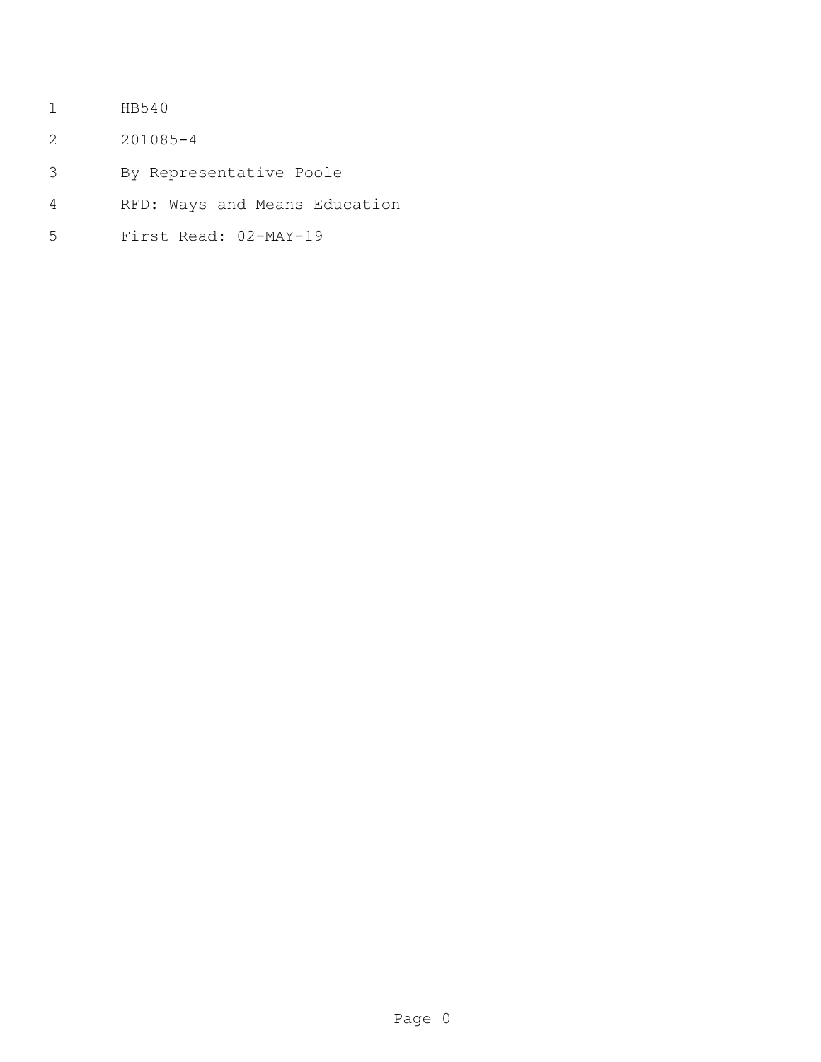- HB540
- 201085-4
- By Representative Poole
- RFD: Ways and Means Education
- First Read: 02-MAY-19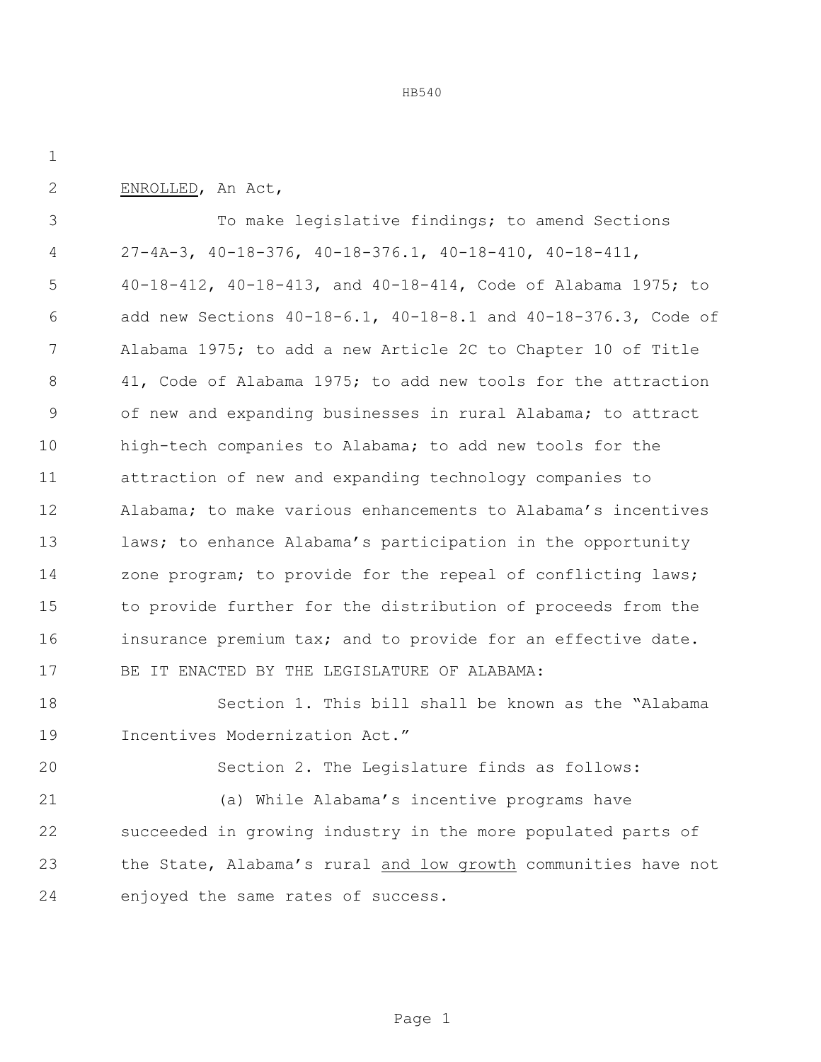ENROLLED, An Act,

 To make legislative findings; to amend Sections 27-4A-3, 40-18-376, 40-18-376.1, 40-18-410, 40-18-411, 40-18-412, 40-18-413, and 40-18-414, Code of Alabama 1975; to add new Sections 40-18-6.1, 40-18-8.1 and 40-18-376.3, Code of Alabama 1975; to add a new Article 2C to Chapter 10 of Title 41, Code of Alabama 1975; to add new tools for the attraction of new and expanding businesses in rural Alabama; to attract high-tech companies to Alabama; to add new tools for the attraction of new and expanding technology companies to Alabama; to make various enhancements to Alabama's incentives 13 laws; to enhance Alabama's participation in the opportunity 14 zone program; to provide for the repeal of conflicting laws; to provide further for the distribution of proceeds from the 16 insurance premium tax; and to provide for an effective date. BE IT ENACTED BY THE LEGISLATURE OF ALABAMA:

 Section 1. This bill shall be known as the "Alabama Incentives Modernization Act."

Section 2. The Legislature finds as follows:

 (a) While Alabama's incentive programs have succeeded in growing industry in the more populated parts of the State, Alabama's rural and low growth communities have not enjoyed the same rates of success.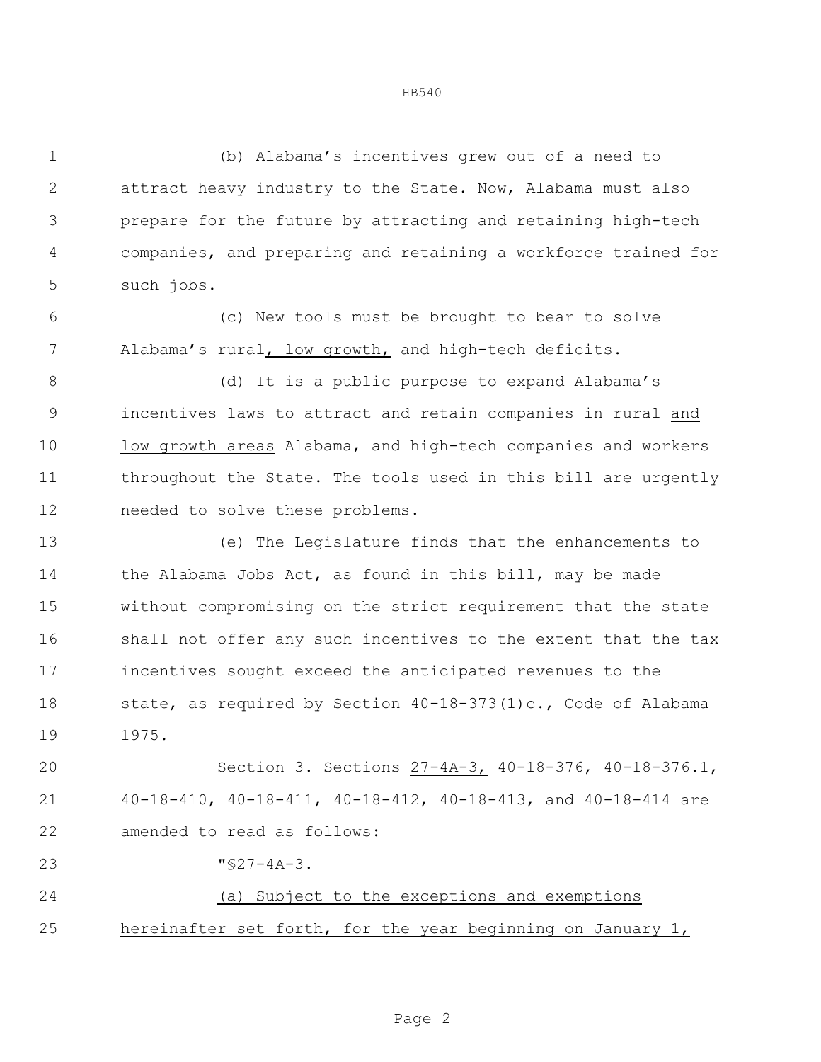(b) Alabama's incentives grew out of a need to attract heavy industry to the State. Now, Alabama must also prepare for the future by attracting and retaining high-tech companies, and preparing and retaining a workforce trained for such jobs.

 (c) New tools must be brought to bear to solve Alabama's rural, low growth, and high-tech deficits.

8 (d) It is a public purpose to expand Alabama's incentives laws to attract and retain companies in rural and low growth areas Alabama, and high-tech companies and workers throughout the State. The tools used in this bill are urgently needed to solve these problems.

 (e) The Legislature finds that the enhancements to 14 the Alabama Jobs Act, as found in this bill, may be made without compromising on the strict requirement that the state shall not offer any such incentives to the extent that the tax incentives sought exceed the anticipated revenues to the state, as required by Section 40-18-373(1)c., Code of Alabama 1975.

 Section 3. Sections 27-4A-3, 40-18-376, 40-18-376.1, 40-18-410, 40-18-411, 40-18-412, 40-18-413, and 40-18-414 are amended to read as follows:

"§27-4A-3.

 (a) Subject to the exceptions and exemptions hereinafter set forth, for the year beginning on January 1,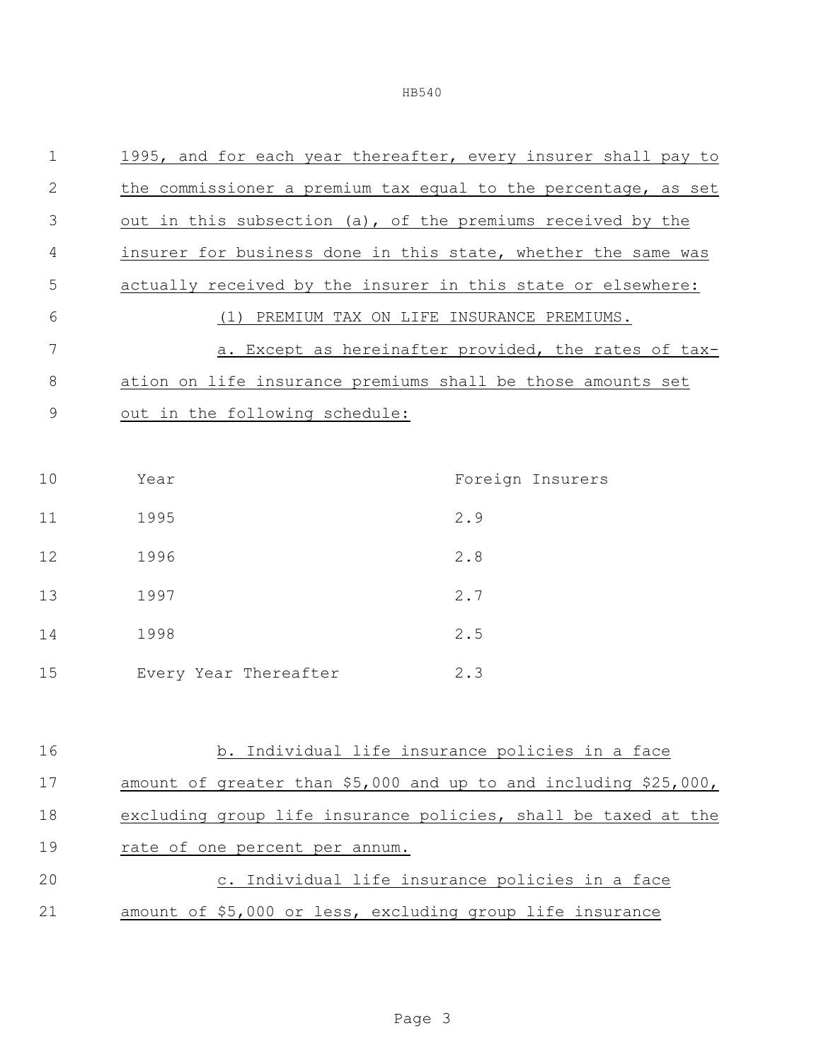| $\mathbf 1$ | 1995, and for each year thereafter, every insurer shall pay to |                                                      |
|-------------|----------------------------------------------------------------|------------------------------------------------------|
| 2           | the commissioner a premium tax equal to the percentage, as set |                                                      |
| 3           | out in this subsection (a), of the premiums received by the    |                                                      |
| 4           | insurer for business done in this state, whether the same was  |                                                      |
| 5           | actually received by the insurer in this state or elsewhere:   |                                                      |
| 6           | (1) PREMIUM TAX ON LIFE INSURANCE PREMIUMS.                    |                                                      |
| 7           |                                                                | a. Except as hereinafter provided, the rates of tax- |
| $8\,$       | ation on life insurance premiums shall be those amounts set    |                                                      |
| 9           | out in the following schedule:                                 |                                                      |
|             |                                                                |                                                      |
| 10          | Year                                                           | Foreign Insurers                                     |
| 11          | 1995                                                           | 2.9                                                  |
| 12          | 1996                                                           | 2.8                                                  |
| 13          | 1997                                                           | 2.7                                                  |
| 14          | 1998                                                           | 2.5                                                  |
| 15          | Every Year Thereafter                                          | 2.3                                                  |
|             |                                                                |                                                      |

| b. Individual life insurance policies in a face                    |
|--------------------------------------------------------------------|
| amount of greater than \$5,000 and up to and including $$25,000$ , |
| excluding group life insurance policies, shall be taxed at the     |
| rate of one percent per annum.                                     |
| c. Individual life insurance policies in a face                    |
| amount of \$5,000 or less, excluding group life insurance          |
|                                                                    |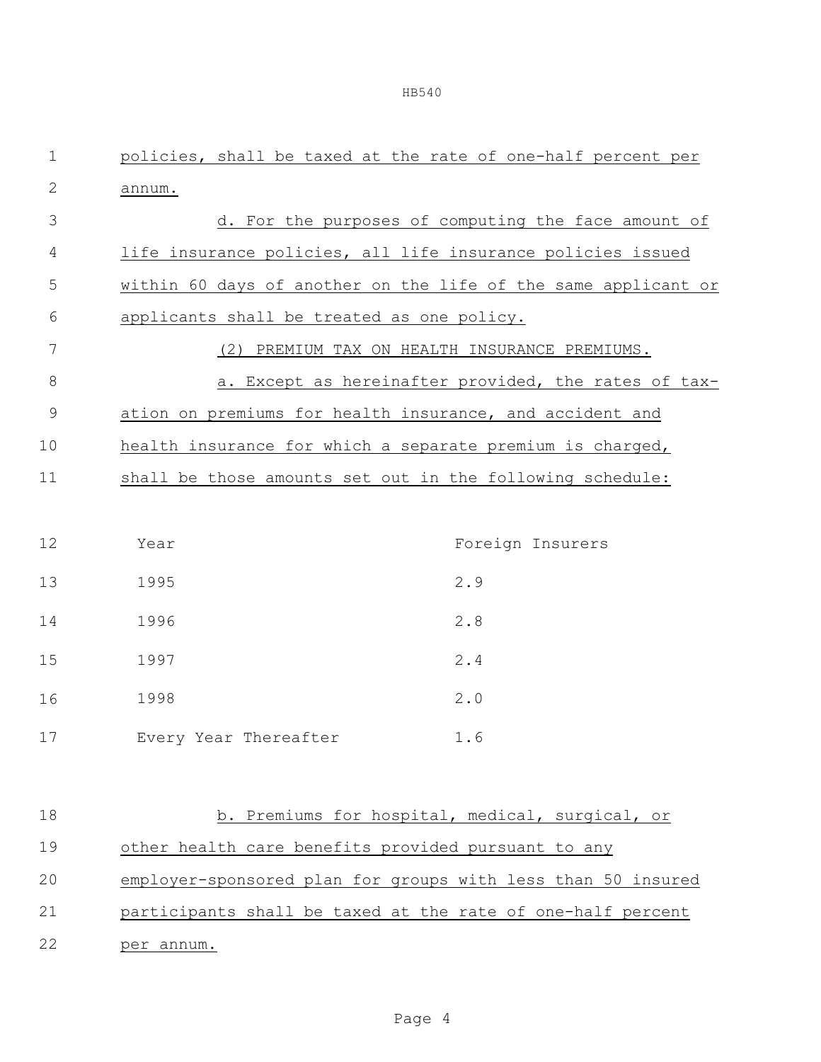| $\mathbf 1$ |                                                             | policies, shall be taxed at the rate of one-half percent per   |
|-------------|-------------------------------------------------------------|----------------------------------------------------------------|
| $\sqrt{2}$  | annum.                                                      |                                                                |
| 3           |                                                             | d. For the purposes of computing the face amount of            |
| 4           | life insurance policies, all life insurance policies issued |                                                                |
| 5           |                                                             | within 60 days of another on the life of the same applicant or |
| 6           | applicants shall be treated as one policy.                  |                                                                |
| 7           |                                                             | (2) PREMIUM TAX ON HEALTH INSURANCE PREMIUMS.                  |
| $\,8\,$     |                                                             | a. Except as hereinafter provided, the rates of tax-           |
| $\mathsf 9$ | ation on premiums for health insurance, and accident and    |                                                                |
| 10          | health insurance for which a separate premium is charged,   |                                                                |
| 11          | shall be those amounts set out in the following schedule:   |                                                                |
|             |                                                             |                                                                |
| 12          | Year                                                        | Foreign Insurers                                               |
| 13          | 1995                                                        | 2.9                                                            |
| 14          | 1996                                                        | 2.8                                                            |
| 15          | 1997                                                        | 2.4                                                            |
| 16          | 1998                                                        | 2.0                                                            |
| 17          | Every Year Thereafter                                       | 1.6                                                            |
|             |                                                             |                                                                |
| 18          |                                                             | b. Premiums for hospital, medical, surgical, or                |
| 19          | other health care benefits provided pursuant to any         |                                                                |
| 20          |                                                             | employer-sponsored plan for groups with less than 50 insured   |
| 21          | participants shall be taxed at the rate of one-half percent |                                                                |

22 per annum.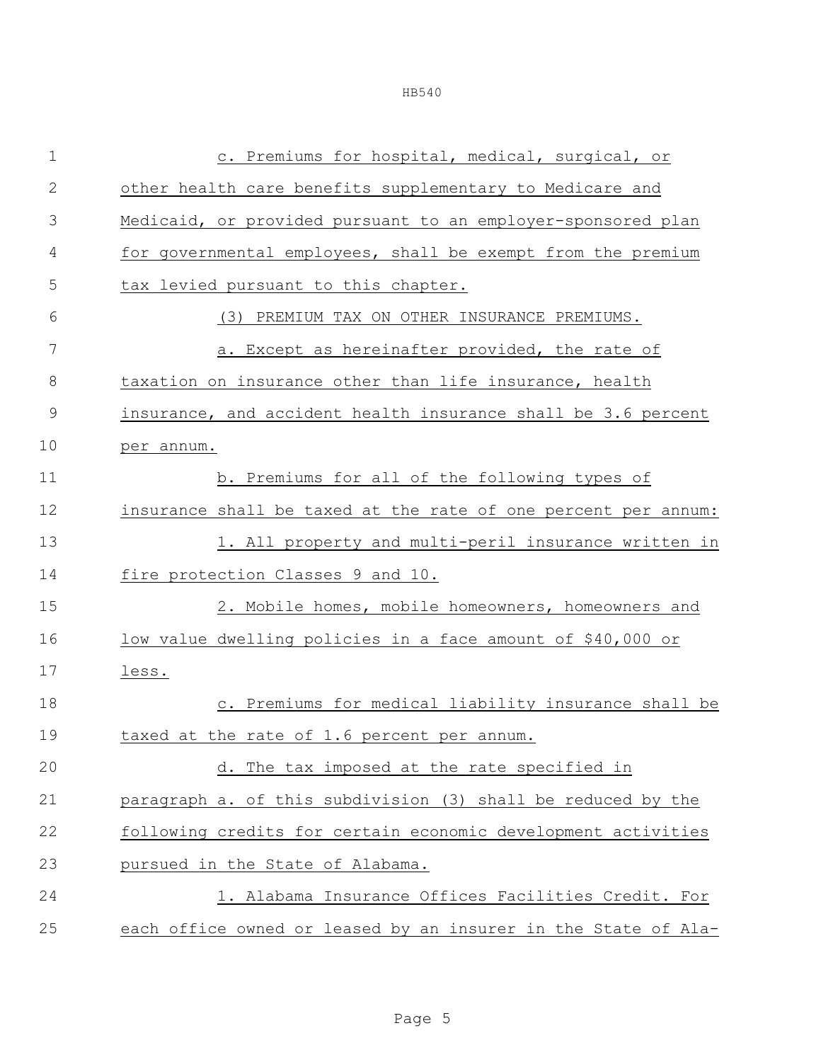|--|--|--|

| $\mathbf 1$   | c. Premiums for hospital, medical, surgical, or                |
|---------------|----------------------------------------------------------------|
| $\mathbf{2}$  | other health care benefits supplementary to Medicare and       |
| 3             | Medicaid, or provided pursuant to an employer-sponsored plan   |
| 4             | for governmental employees, shall be exempt from the premium   |
| 5             | tax levied pursuant to this chapter.                           |
| 6             | (3) PREMIUM TAX ON OTHER INSURANCE PREMIUMS.                   |
| 7             | a. Except as hereinafter provided, the rate of                 |
| 8             | taxation on insurance other than life insurance, health        |
| $\mathcal{G}$ | insurance, and accident health insurance shall be 3.6 percent  |
| 10            | per annum.                                                     |
| 11            | b. Premiums for all of the following types of                  |
| 12            | insurance shall be taxed at the rate of one percent per annum: |
| 13            | 1. All property and multi-peril insurance written in           |
| 14            | fire protection Classes 9 and 10.                              |
| 15            | 2. Mobile homes, mobile homeowners, homeowners and             |
| 16            | low value dwelling policies in a face amount of \$40,000 or    |
| 17            | less.                                                          |
| 18            | c. Premiums for medical liability insurance shall be           |
| 19            | taxed at the rate of 1.6 percent per annum.                    |
| 20            | d. The tax imposed at the rate specified in                    |
| 21            | paragraph a. of this subdivision (3) shall be reduced by the   |
| 22            | following credits for certain economic development activities  |
| 23            | pursued in the State of Alabama.                               |
| 24            | 1. Alabama Insurance Offices Facilities Credit. For            |
| 25            | each office owned or leased by an insurer in the State of Ala- |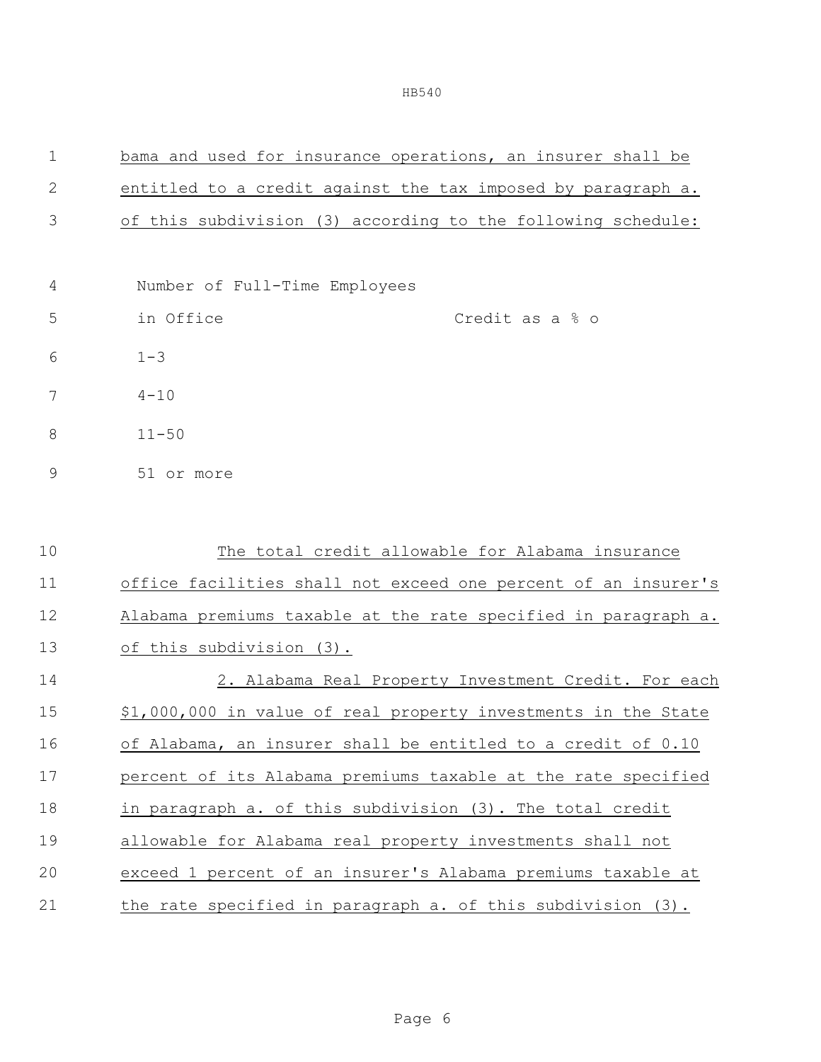| $\mathbf 1$  | bama and used for insurance operations, an insurer shall be    |
|--------------|----------------------------------------------------------------|
| $\mathbf{2}$ | entitled to a credit against the tax imposed by paragraph a.   |
| 3            | of this subdivision (3) according to the following schedule:   |
|              |                                                                |
| 4            | Number of Full-Time Employees                                  |
| 5            | in Office<br>Credit as a % o                                   |
| 6            | $1 - 3$                                                        |
| 7            | $4 - 10$                                                       |
| 8            | $11 - 50$                                                      |
| 9            | 51 or more                                                     |
|              |                                                                |
| 10           | The total credit allowable for Alabama insurance               |
| 11           | office facilities shall not exceed one percent of an insurer's |
| 12           | Alabama premiums taxable at the rate specified in paragraph a. |
| 13           | of this subdivision (3).                                       |
| 14           | 2. Alabama Real Property Investment Credit. For each           |
| 15           | \$1,000,000 in value of real property investments in the State |
| 16           | of Alabama, an insurer shall be entitled to a credit of 0.10   |
| 17           | percent of its Alabama premiums taxable at the rate specified  |
| 18           | in paragraph a. of this subdivision (3). The total credit      |
| 19           | allowable for Alabama real property investments shall not      |
| 20           | exceed 1 percent of an insurer's Alabama premiums taxable at   |
| 21           | the rate specified in paragraph a. of this subdivision (3).    |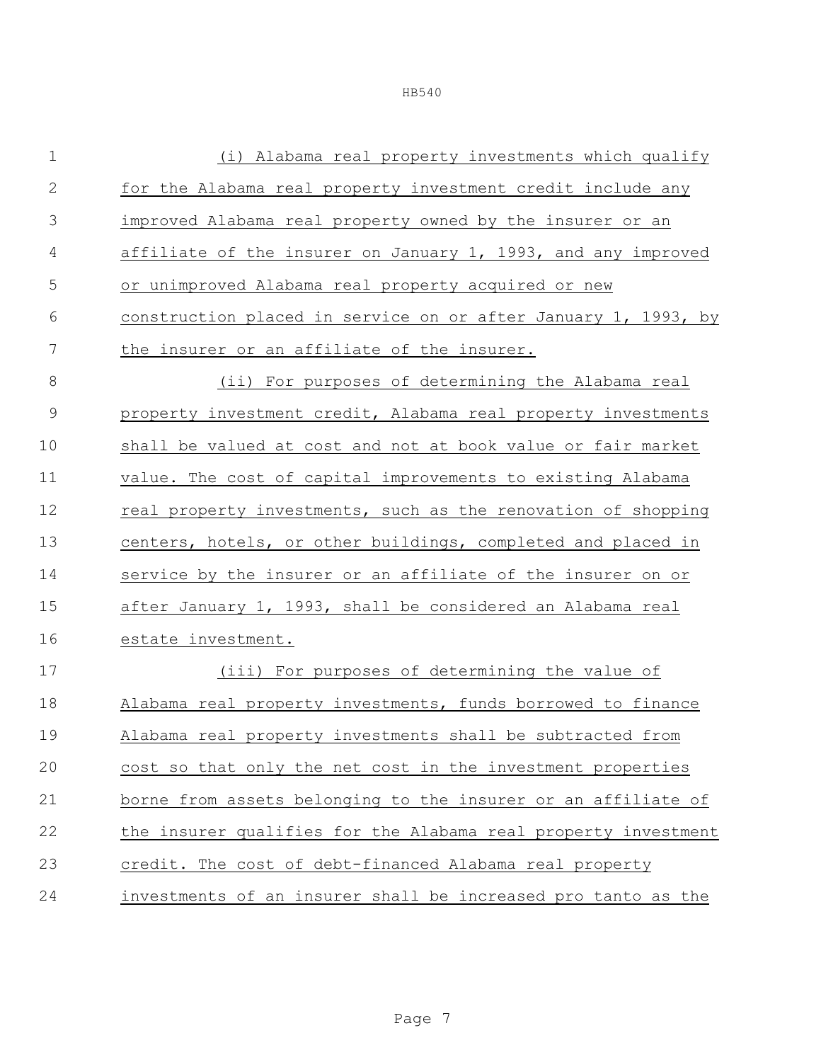| $\mathbf 1$    | (i) Alabama real property investments which qualify            |
|----------------|----------------------------------------------------------------|
| 2              | for the Alabama real property investment credit include any    |
| 3              | improved Alabama real property owned by the insurer or an      |
| $\overline{4}$ | affiliate of the insurer on January 1, 1993, and any improved  |
| 5              | or unimproved Alabama real property acquired or new            |
| 6              | construction placed in service on or after January 1, 1993, by |
| 7              | the insurer or an affiliate of the insurer.                    |
| 8              | (ii) For purposes of determining the Alabama real              |
| $\mathcal{G}$  | property investment credit, Alabama real property investments  |
| 10             | shall be valued at cost and not at book value or fair market   |
| 11             | value. The cost of capital improvements to existing Alabama    |
| 12             | real property investments, such as the renovation of shopping  |
| 13             | centers, hotels, or other buildings, completed and placed in   |
| 14             | service by the insurer or an affiliate of the insurer on or    |
| 15             | after January 1, 1993, shall be considered an Alabama real     |
| 16             | estate investment.                                             |
| 17             | (iii) For purposes of determining the value of                 |
| 18             | Alabama real property investments, funds borrowed to finance   |
| 19             | Alabama real property investments shall be subtracted from     |
| 20             | cost so that only the net cost in the investment properties    |
| 21             | borne from assets belonging to the insurer or an affiliate of  |
| 22             | the insurer qualifies for the Alabama real property investment |
| 23             | credit. The cost of debt-financed Alabama real property        |
| 24             | investments of an insurer shall be increased pro tanto as the  |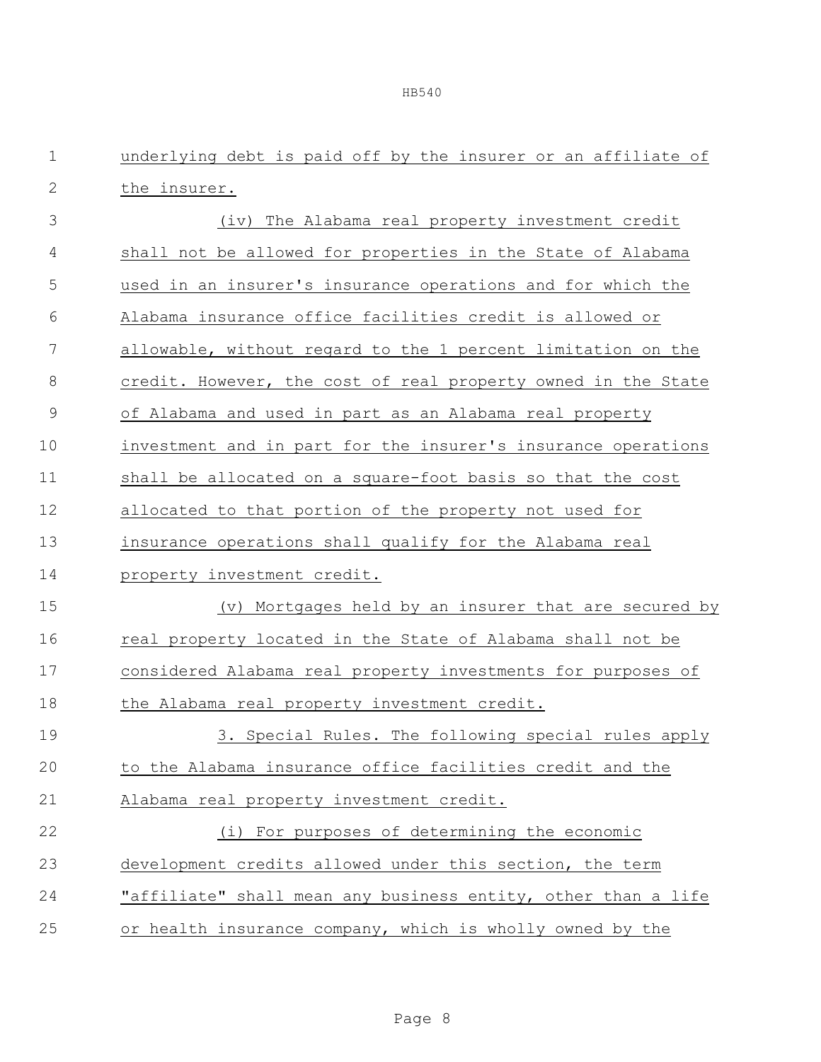| $\mathbf 1$   | underlying debt is paid off by the insurer or an affiliate of |
|---------------|---------------------------------------------------------------|
| $\mathbf 2$   | the insurer.                                                  |
| 3             | (iv) The Alabama real property investment credit              |
| 4             | shall not be allowed for properties in the State of Alabama   |
| 5             | used in an insurer's insurance operations and for which the   |
| 6             | Alabama insurance office facilities credit is allowed or      |
| 7             | allowable, without regard to the 1 percent limitation on the  |
| $\,8\,$       | credit. However, the cost of real property owned in the State |
| $\mathcal{G}$ | of Alabama and used in part as an Alabama real property       |
| 10            | investment and in part for the insurer's insurance operations |
| 11            | shall be allocated on a square-foot basis so that the cost    |
| 12            | allocated to that portion of the property not used for        |
| 13            | insurance operations shall qualify for the Alabama real       |
| 14            | property investment credit.                                   |
| 15            | (v) Mortgages held by an insurer that are secured by          |
| 16            | real property located in the State of Alabama shall not be    |
| 17            | considered Alabama real property investments for purposes of  |
| 18            | the Alabama real property investment credit.                  |
| 19            | 3. Special Rules. The following special rules apply           |
| 20            | to the Alabama insurance office facilities credit and the     |
| 21            | Alabama real property investment credit.                      |
| 22            | (i) For purposes of determining the economic                  |
| 23            | development credits allowed under this section, the term      |
| 24            | "affiliate" shall mean any business entity, other than a life |
| 25            | or health insurance company, which is wholly owned by the     |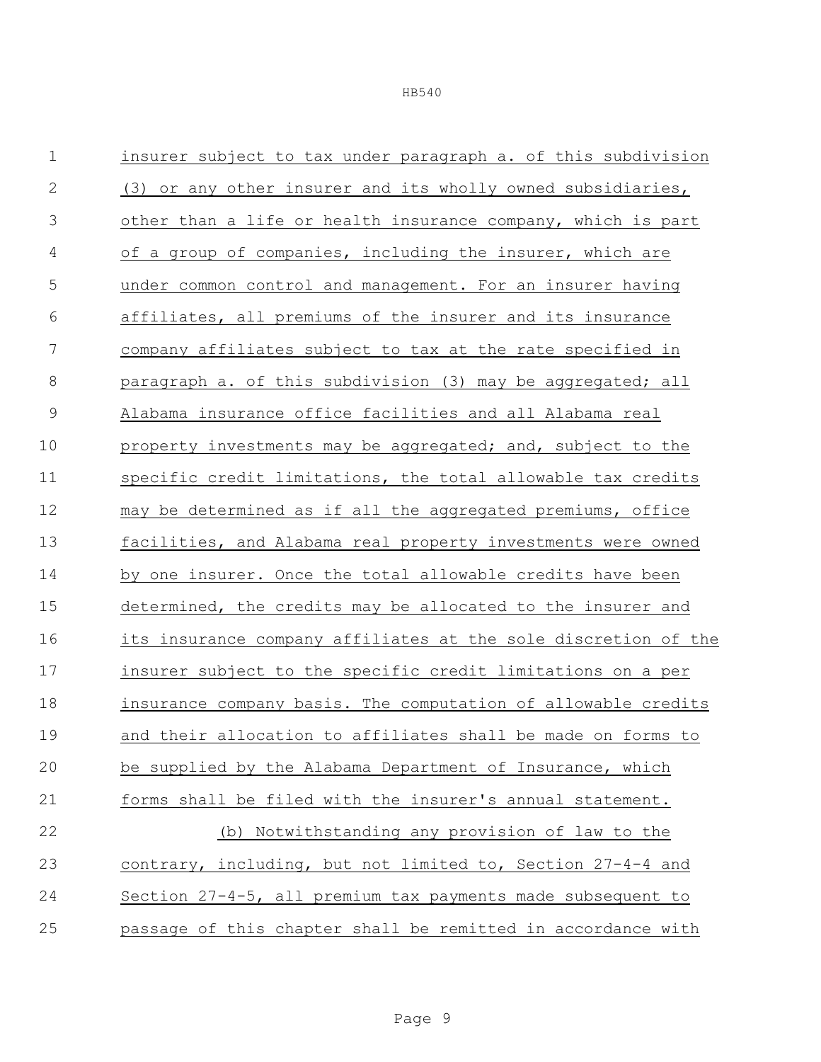| $\mathbf 1$    | insurer subject to tax under paragraph a. of this subdivision  |
|----------------|----------------------------------------------------------------|
| $\sqrt{2}$     | (3) or any other insurer and its wholly owned subsidiaries,    |
| $\mathfrak{Z}$ | other than a life or health insurance company, which is part   |
| 4              | of a group of companies, including the insurer, which are      |
| 5              | under common control and management. For an insurer having     |
| 6              | affiliates, all premiums of the insurer and its insurance      |
| $\overline{7}$ | company affiliates subject to tax at the rate specified in     |
| $\,8\,$        | paragraph a. of this subdivision (3) may be aggregated; all    |
| $\mathcal{G}$  | Alabama insurance office facilities and all Alabama real       |
| 10             | property investments may be aggregated; and, subject to the    |
| 11             | specific credit limitations, the total allowable tax credits   |
| 12             | may be determined as if all the aggregated premiums, office    |
| 13             | facilities, and Alabama real property investments were owned   |
| 14             | by one insurer. Once the total allowable credits have been     |
| 15             | determined, the credits may be allocated to the insurer and    |
| 16             | its insurance company affiliates at the sole discretion of the |
| 17             | insurer subject to the specific credit limitations on a per    |
| 18             | insurance company basis. The computation of allowable credits  |
| 19             | and their allocation to affiliates shall be made on forms to   |
| 20             | be supplied by the Alabama Department of Insurance, which      |
| 21             | forms shall be filed with the insurer's annual statement.      |
| 22             | (b) Notwithstanding any provision of law to the                |
| 23             | contrary, including, but not limited to, Section 27-4-4 and    |
| 24             | Section $27-4-5$ , all premium tax payments made subsequent to |
| 25             | passage of this chapter shall be remitted in accordance with   |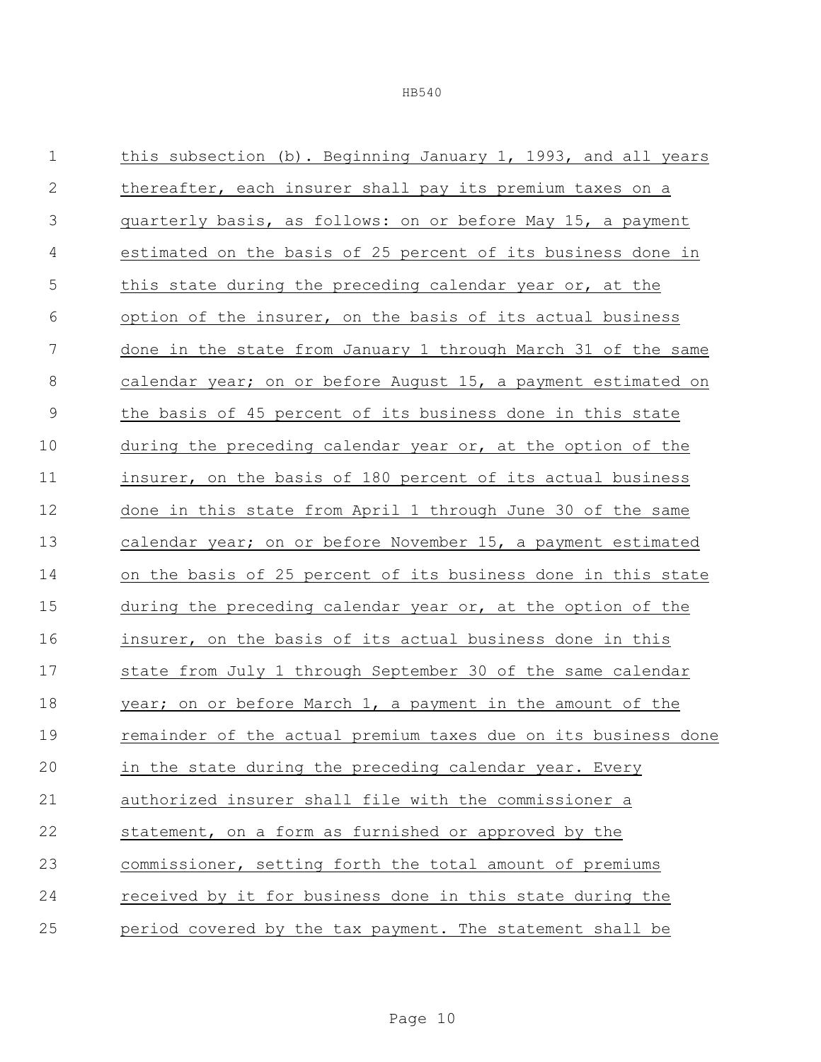| $1\,$          | this subsection (b). Beginning January 1, 1993, and all years  |
|----------------|----------------------------------------------------------------|
| $\mathbf{2}$   | thereafter, each insurer shall pay its premium taxes on a      |
| 3              | quarterly basis, as follows: on or before May 15, a payment    |
| $\overline{4}$ | estimated on the basis of 25 percent of its business done in   |
| 5              | this state during the preceding calendar year or, at the       |
| 6              | option of the insurer, on the basis of its actual business     |
| 7              | done in the state from January 1 through March 31 of the same  |
| 8              | calendar year; on or before August 15, a payment estimated on  |
| $\mathsf 9$    | the basis of 45 percent of its business done in this state     |
| 10             | during the preceding calendar year or, at the option of the    |
| 11             | insurer, on the basis of 180 percent of its actual business    |
| 12             | done in this state from April 1 through June 30 of the same    |
| 13             | calendar year; on or before November 15, a payment estimated   |
| 14             | on the basis of 25 percent of its business done in this state  |
| 15             | during the preceding calendar year or, at the option of the    |
| 16             | insurer, on the basis of its actual business done in this      |
| 17             | state from July 1 through September 30 of the same calendar    |
| 18             | year; on or before March 1, a payment in the amount of the     |
| 19             | remainder of the actual premium taxes due on its business done |
| 20             | in the state during the preceding calendar year. Every         |
| 21             | authorized insurer shall file with the commissioner a          |
| 22             | statement, on a form as furnished or approved by the           |
| 23             | commissioner, setting forth the total amount of premiums       |
| 24             | received by it for business done in this state during the      |
| 25             | period covered by the tax payment. The statement shall be      |
|                |                                                                |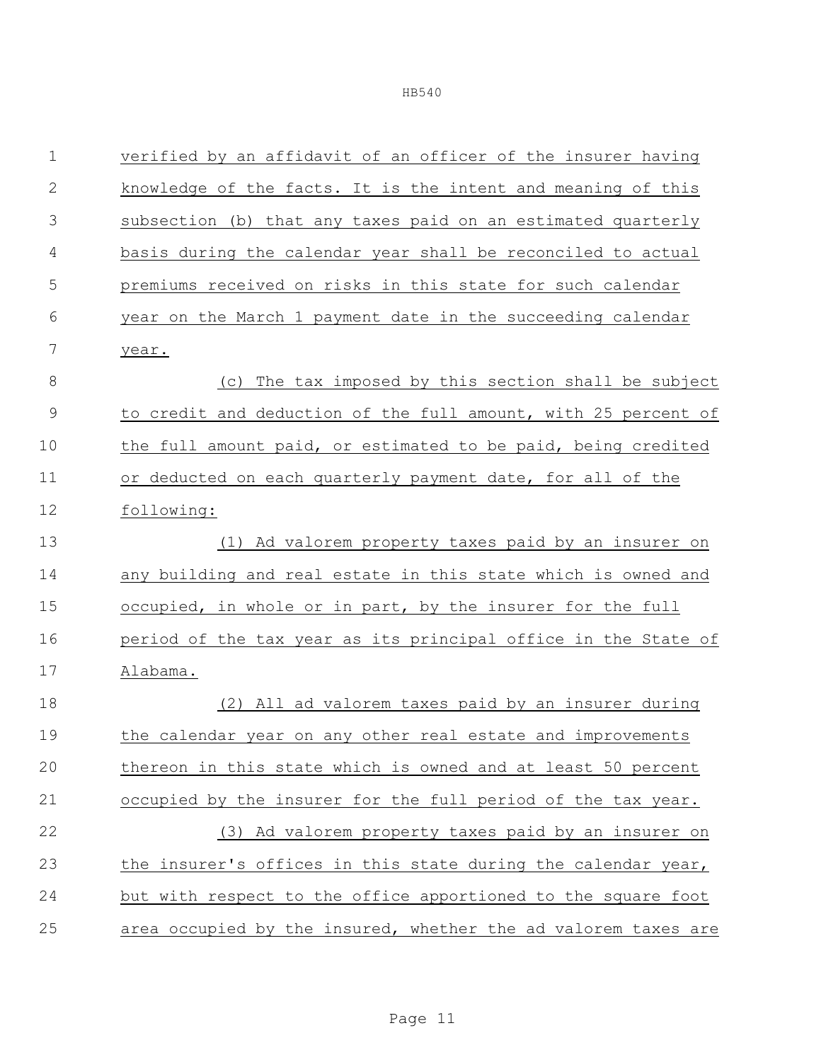| $\mathbf 1$  | verified by an affidavit of an officer of the insurer having   |
|--------------|----------------------------------------------------------------|
| $\mathbf{2}$ | knowledge of the facts. It is the intent and meaning of this   |
| 3            | subsection (b) that any taxes paid on an estimated quarterly   |
| 4            | basis during the calendar year shall be reconciled to actual   |
| 5            | premiums received on risks in this state for such calendar     |
| 6            | year on the March 1 payment date in the succeeding calendar    |
| 7            | year.                                                          |
| $\,8\,$      | The tax imposed by this section shall be subject<br>(C)        |
| 9            | to credit and deduction of the full amount, with 25 percent of |
| 10           | the full amount paid, or estimated to be paid, being credited  |
| 11           | or deducted on each quarterly payment date, for all of the     |
| 12           | following:                                                     |
| 13           | (1) Ad valorem property taxes paid by an insurer on            |
| 14           | any building and real estate in this state which is owned and  |
| 15           | occupied, in whole or in part, by the insurer for the full     |
| 16           | period of the tax year as its principal office in the State of |
| 17           | Alabama.                                                       |
| 18           | All ad valorem taxes paid by an insurer during<br>(2)          |
| 19           | the calendar year on any other real estate and improvements    |
| 20           | thereon in this state which is owned and at least 50 percent   |
| 21           | occupied by the insurer for the full period of the tax year.   |
| 22           | (3) Ad valorem property taxes paid by an insurer on            |
| 23           | the insurer's offices in this state during the calendar year,  |
| 24           | but with respect to the office apportioned to the square foot  |
| 25           | area occupied by the insured, whether the ad valorem taxes are |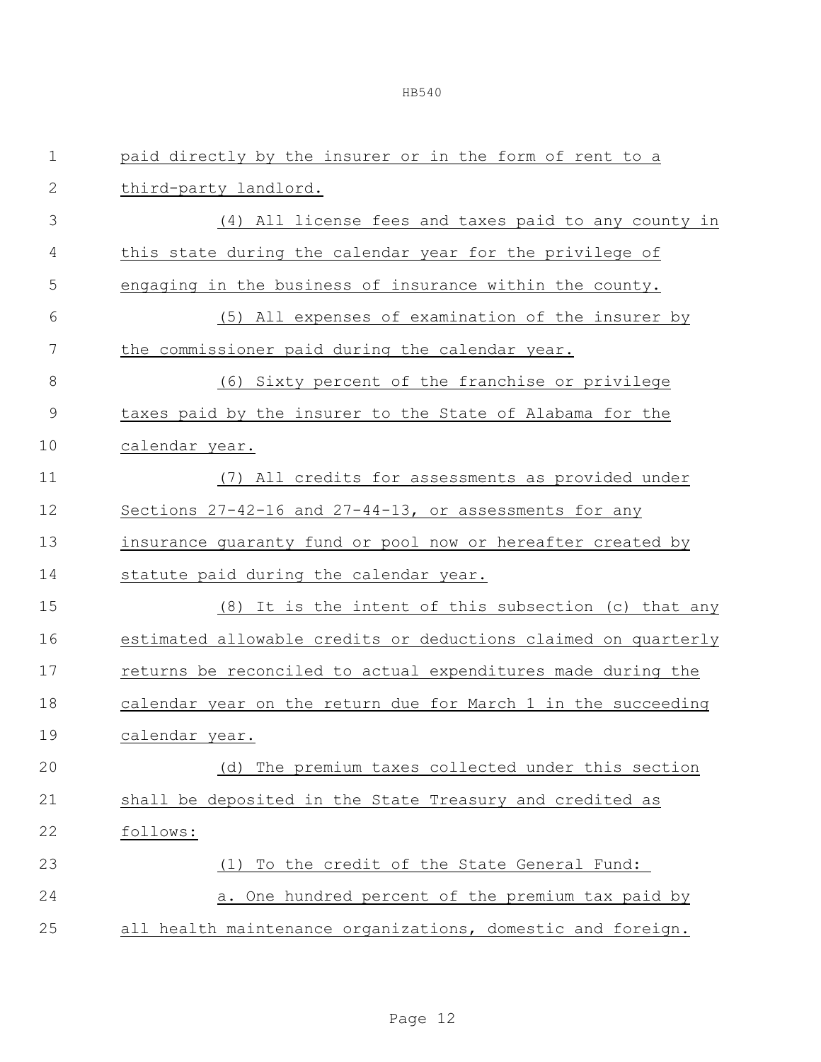| $\mathbf 1$   | paid directly by the insurer or in the form of rent to a       |
|---------------|----------------------------------------------------------------|
| $\mathbf{2}$  | third-party landlord.                                          |
| 3             | (4) All license fees and taxes paid to any county in           |
| 4             | this state during the calendar year for the privilege of       |
| 5             | engaging in the business of insurance within the county.       |
| 6             | (5) All expenses of examination of the insurer by              |
| 7             | the commissioner paid during the calendar year.                |
| 8             | (6) Sixty percent of the franchise or privilege                |
| $\mathcal{G}$ | taxes paid by the insurer to the State of Alabama for the      |
| 10            | calendar year.                                                 |
| 11            | (7) All credits for assessments as provided under              |
| 12            | Sections 27-42-16 and 27-44-13, or assessments for any         |
| 13            | insurance guaranty fund or pool now or hereafter created by    |
| 14            | statute paid during the calendar year.                         |
| 15            | (8) It is the intent of this subsection (c) that any           |
| 16            | estimated allowable credits or deductions claimed on quarterly |
| 17            | returns be reconciled to actual expenditures made during the   |
| 18            | calendar year on the return due for March 1 in the succeeding  |
| 19            | calendar year.                                                 |
| 20            | (d) The premium taxes collected under this section             |
| 21            | shall be deposited in the State Treasury and credited as       |
| 22            | follows:                                                       |
| 23            | (1) To the credit of the State General Fund:                   |
| 24            | a. One hundred percent of the premium tax paid by              |
| 25            | all health maintenance organizations, domestic and foreign.    |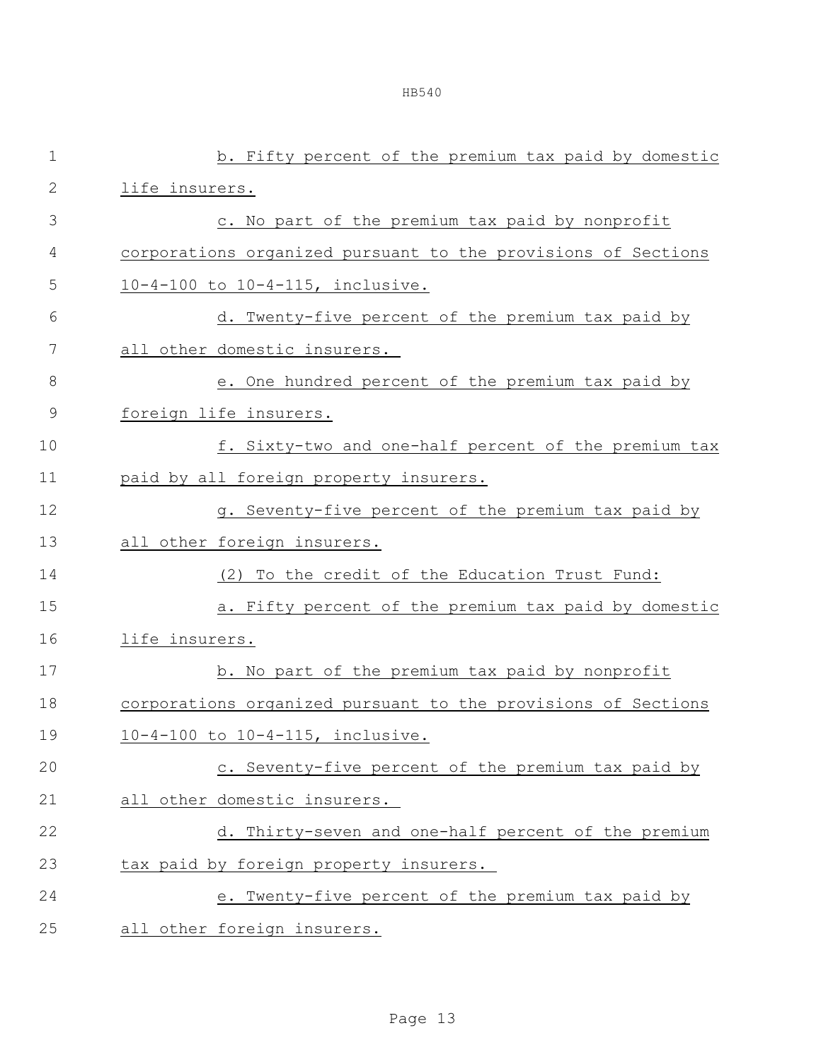|--|--|

| $\mathbf 1$  | b. Fifty percent of the premium tax paid by domestic          |
|--------------|---------------------------------------------------------------|
| $\mathbf{2}$ | life insurers.                                                |
| 3            | c. No part of the premium tax paid by nonprofit               |
| 4            | corporations organized pursuant to the provisions of Sections |
| 5            | 10-4-100 to 10-4-115, inclusive.                              |
| 6            | d. Twenty-five percent of the premium tax paid by             |
| 7            | all other domestic insurers.                                  |
| 8            | e. One hundred percent of the premium tax paid by             |
| $\mathsf 9$  | foreign life insurers.                                        |
| 10           | f. Sixty-two and one-half percent of the premium tax          |
| 11           | paid by all foreign property insurers.                        |
| 12           | g. Seventy-five percent of the premium tax paid by            |
| 13           | all other foreign insurers.                                   |
| 14           | (2) To the credit of the Education Trust Fund:                |
| 15           | a. Fifty percent of the premium tax paid by domestic          |
| 16           | life insurers.                                                |
| 17           | b. No part of the premium tax paid by nonprofit               |
| 18           | corporations organized pursuant to the provisions of Sections |
| 19           | 10-4-100 to 10-4-115, inclusive.                              |
| 20           | c. Seventy-five percent of the premium tax paid by            |
| 21           | all other domestic insurers.                                  |
| 22           | d. Thirty-seven and one-half percent of the premium           |
| 23           | tax paid by foreign property insurers.                        |
| 24           | e. Twenty-five percent of the premium tax paid by             |
| 25           | all other foreign insurers.                                   |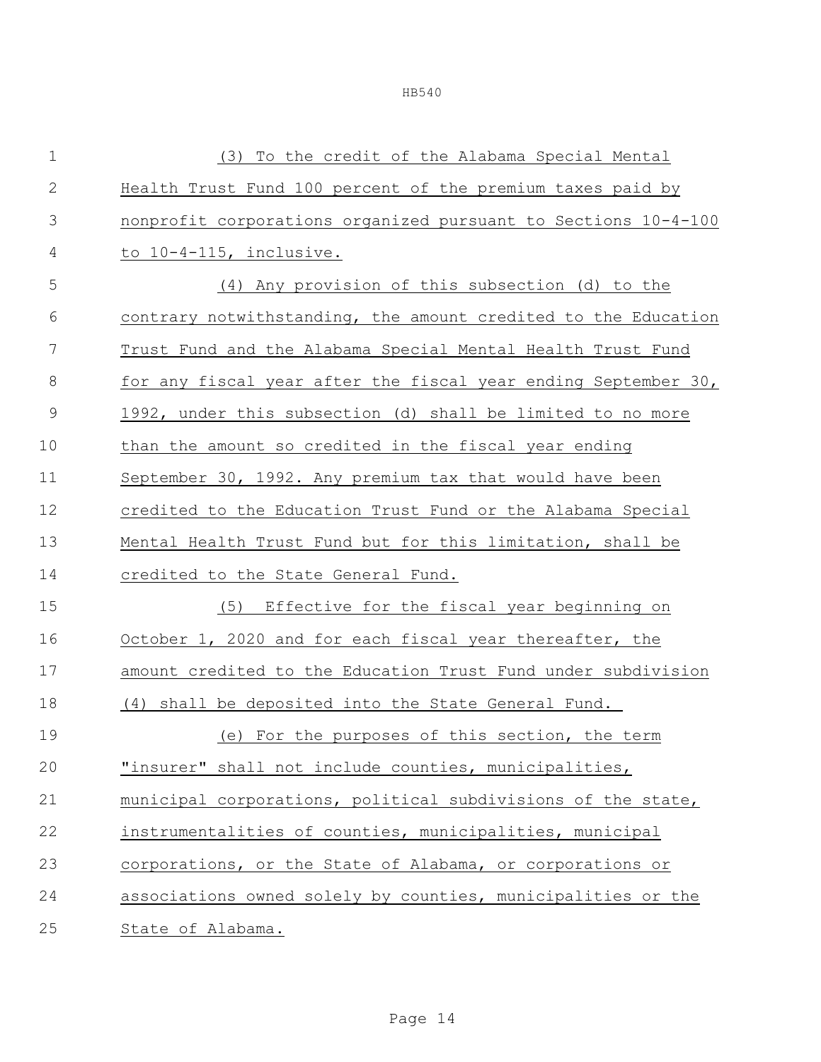(3) To the credit of the Alabama Special Mental Health Trust Fund 100 percent of the premium taxes paid by nonprofit corporations organized pursuant to Sections 10-4-100 to 10-4-115, inclusive. (4) Any provision of this subsection (d) to the contrary notwithstanding, the amount credited to the Education Trust Fund and the Alabama Special Mental Health Trust Fund for any fiscal year after the fiscal year ending September 30, 1992, under this subsection (d) shall be limited to no more than the amount so credited in the fiscal year ending September 30, 1992. Any premium tax that would have been credited to the Education Trust Fund or the Alabama Special Mental Health Trust Fund but for this limitation, shall be credited to the State General Fund. (5) Effective for the fiscal year beginning on October 1, 2020 and for each fiscal year thereafter, the amount credited to the Education Trust Fund under subdivision (4) shall be deposited into the State General Fund. (e) For the purposes of this section, the term "insurer" shall not include counties, municipalities, municipal corporations, political subdivisions of the state, instrumentalities of counties, municipalities, municipal corporations, or the State of Alabama, or corporations or associations owned solely by counties, municipalities or the State of Alabama.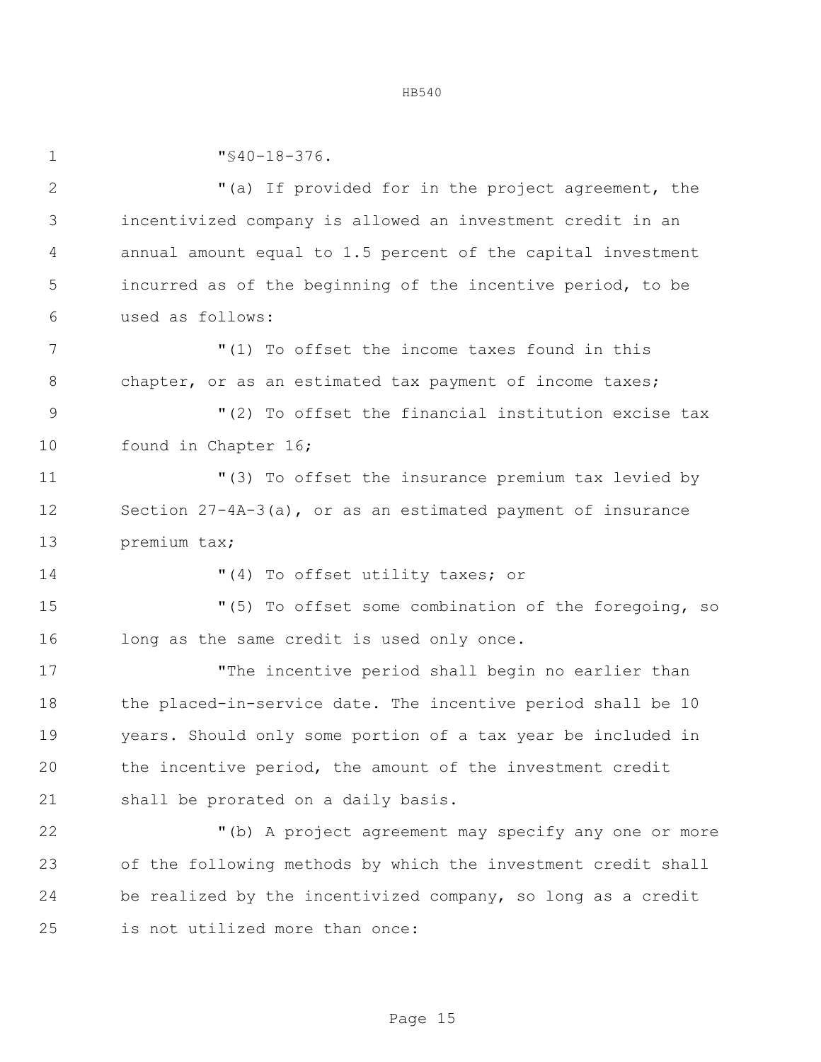"§40-18-376. "(a) If provided for in the project agreement, the incentivized company is allowed an investment credit in an annual amount equal to 1.5 percent of the capital investment incurred as of the beginning of the incentive period, to be used as follows: "(1) To offset the income taxes found in this 8 chapter, or as an estimated tax payment of income taxes; "(2) To offset the financial institution excise tax 10 found in Chapter 16; "(3) To offset the insurance premium tax levied by Section 27-4A-3(a), or as an estimated payment of insurance premium tax;  $(4)$  To offset utility taxes; or "(5) To offset some combination of the foregoing, so 16 long as the same credit is used only once. "The incentive period shall begin no earlier than the placed-in-service date. The incentive period shall be 10 years. Should only some portion of a tax year be included in the incentive period, the amount of the investment credit shall be prorated on a daily basis. "(b) A project agreement may specify any one or more of the following methods by which the investment credit shall be realized by the incentivized company, so long as a credit is not utilized more than once: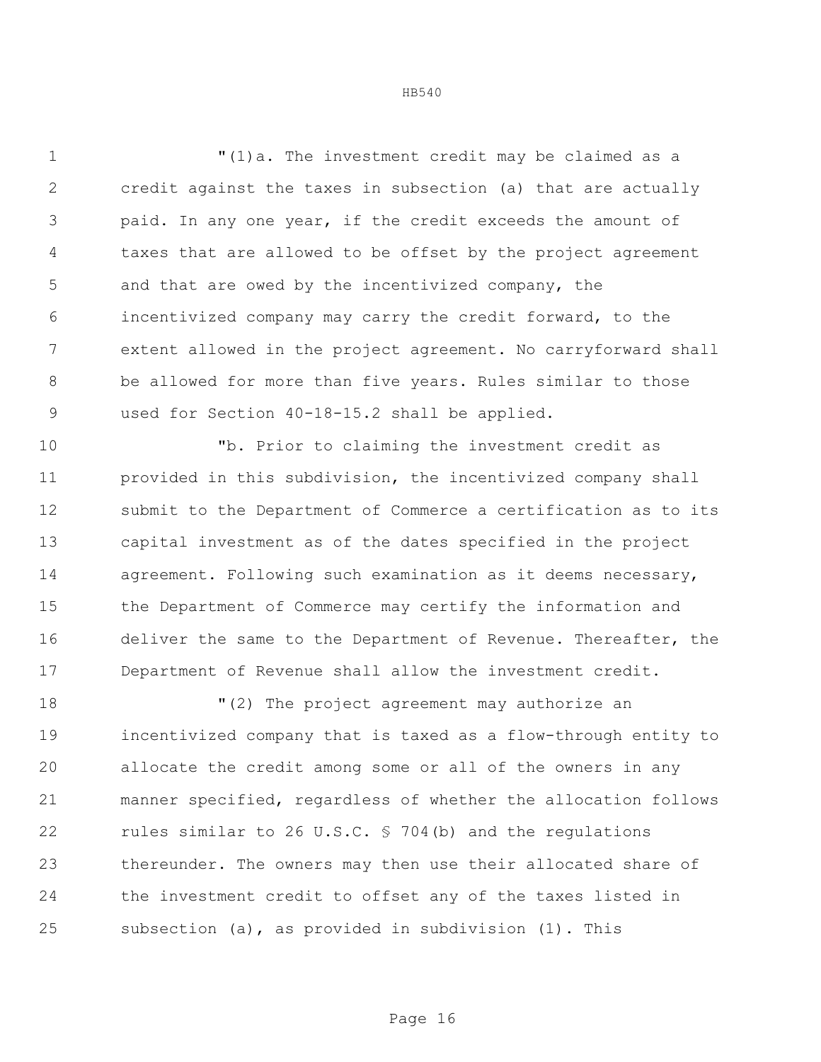"(1)a. The investment credit may be claimed as a credit against the taxes in subsection (a) that are actually paid. In any one year, if the credit exceeds the amount of taxes that are allowed to be offset by the project agreement and that are owed by the incentivized company, the incentivized company may carry the credit forward, to the extent allowed in the project agreement. No carryforward shall be allowed for more than five years. Rules similar to those 9 used for Section 40-18-15.2 shall be applied.

 "b. Prior to claiming the investment credit as provided in this subdivision, the incentivized company shall submit to the Department of Commerce a certification as to its capital investment as of the dates specified in the project agreement. Following such examination as it deems necessary, the Department of Commerce may certify the information and deliver the same to the Department of Revenue. Thereafter, the Department of Revenue shall allow the investment credit.

 "(2) The project agreement may authorize an incentivized company that is taxed as a flow-through entity to allocate the credit among some or all of the owners in any manner specified, regardless of whether the allocation follows rules similar to 26 U.S.C. § 704(b) and the regulations thereunder. The owners may then use their allocated share of the investment credit to offset any of the taxes listed in subsection (a), as provided in subdivision (1). This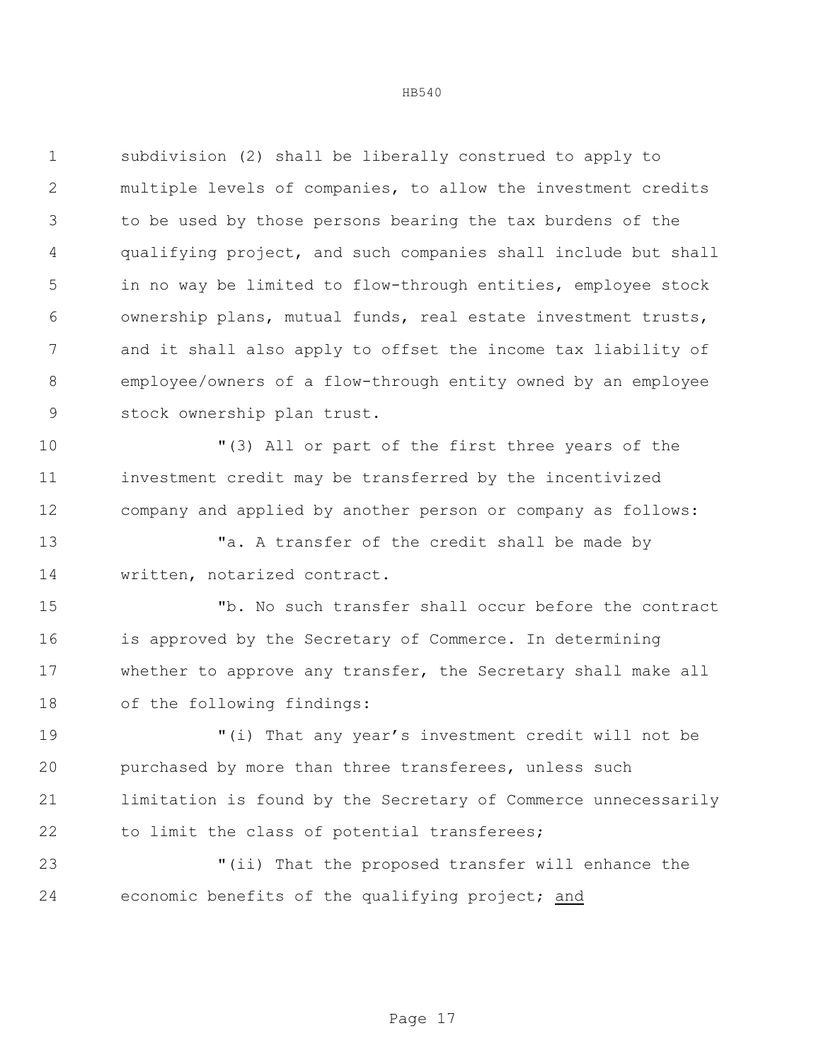subdivision (2) shall be liberally construed to apply to multiple levels of companies, to allow the investment credits to be used by those persons bearing the tax burdens of the qualifying project, and such companies shall include but shall in no way be limited to flow-through entities, employee stock ownership plans, mutual funds, real estate investment trusts, and it shall also apply to offset the income tax liability of employee/owners of a flow-through entity owned by an employee stock ownership plan trust.

 "(3) All or part of the first three years of the investment credit may be transferred by the incentivized company and applied by another person or company as follows:

13 Ta. A transfer of the credit shall be made by written, notarized contract.

 "b. No such transfer shall occur before the contract is approved by the Secretary of Commerce. In determining whether to approve any transfer, the Secretary shall make all of the following findings:

 "(i) That any year's investment credit will not be purchased by more than three transferees, unless such limitation is found by the Secretary of Commerce unnecessarily to limit the class of potential transferees;

 "(ii) That the proposed transfer will enhance the economic benefits of the qualifying project; and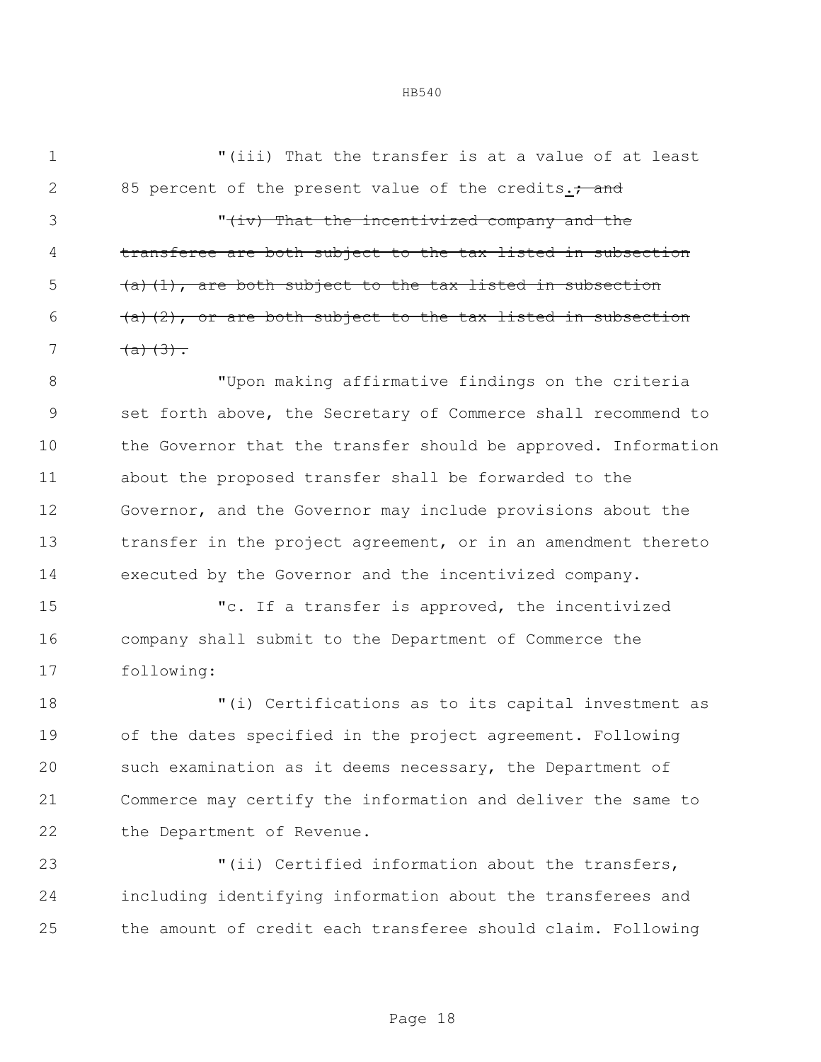"(iii) That the transfer is at a value of at least 2 85 percent of the present value of the credits.; and

3 That the incentivized company and the transferee are both subject to the tax listed in subsection  $(4)$  (a)(1), are both subject to the tax listed in subsection (a)(2), or are both subject to the tax listed in subsection 7  $(a)(3)$ .

 "Upon making affirmative findings on the criteria set forth above, the Secretary of Commerce shall recommend to 10 the Governor that the transfer should be approved. Information about the proposed transfer shall be forwarded to the Governor, and the Governor may include provisions about the transfer in the project agreement, or in an amendment thereto executed by the Governor and the incentivized company.

 "c. If a transfer is approved, the incentivized company shall submit to the Department of Commerce the following:

 "(i) Certifications as to its capital investment as of the dates specified in the project agreement. Following such examination as it deems necessary, the Department of Commerce may certify the information and deliver the same to 22 the Department of Revenue.

 "(ii) Certified information about the transfers, including identifying information about the transferees and the amount of credit each transferee should claim. Following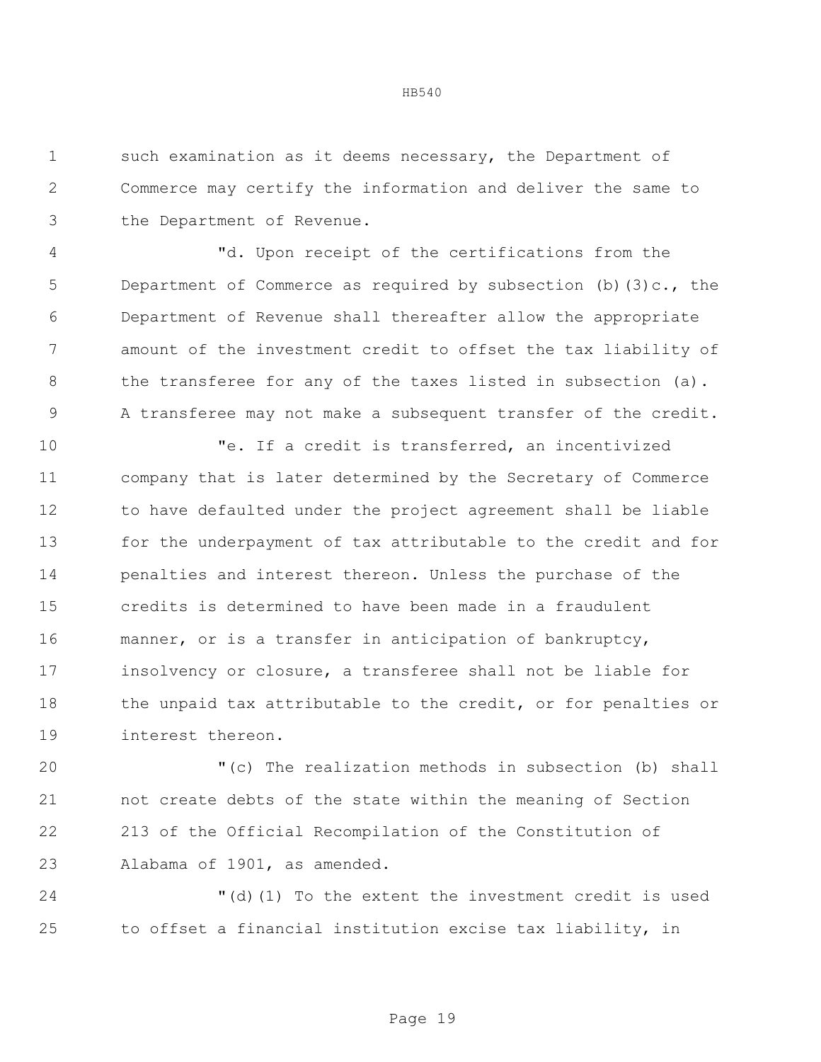such examination as it deems necessary, the Department of Commerce may certify the information and deliver the same to the Department of Revenue.

 "d. Upon receipt of the certifications from the 5 Department of Commerce as required by subsection (b)(3)c., the Department of Revenue shall thereafter allow the appropriate amount of the investment credit to offset the tax liability of 8 the transferee for any of the taxes listed in subsection (a). A transferee may not make a subsequent transfer of the credit.

 "e. If a credit is transferred, an incentivized company that is later determined by the Secretary of Commerce to have defaulted under the project agreement shall be liable for the underpayment of tax attributable to the credit and for penalties and interest thereon. Unless the purchase of the credits is determined to have been made in a fraudulent manner, or is a transfer in anticipation of bankruptcy, insolvency or closure, a transferee shall not be liable for 18 the unpaid tax attributable to the credit, or for penalties or interest thereon.

 "(c) The realization methods in subsection (b) shall not create debts of the state within the meaning of Section 213 of the Official Recompilation of the Constitution of Alabama of 1901, as amended.

 "(d)(1) To the extent the investment credit is used to offset a financial institution excise tax liability, in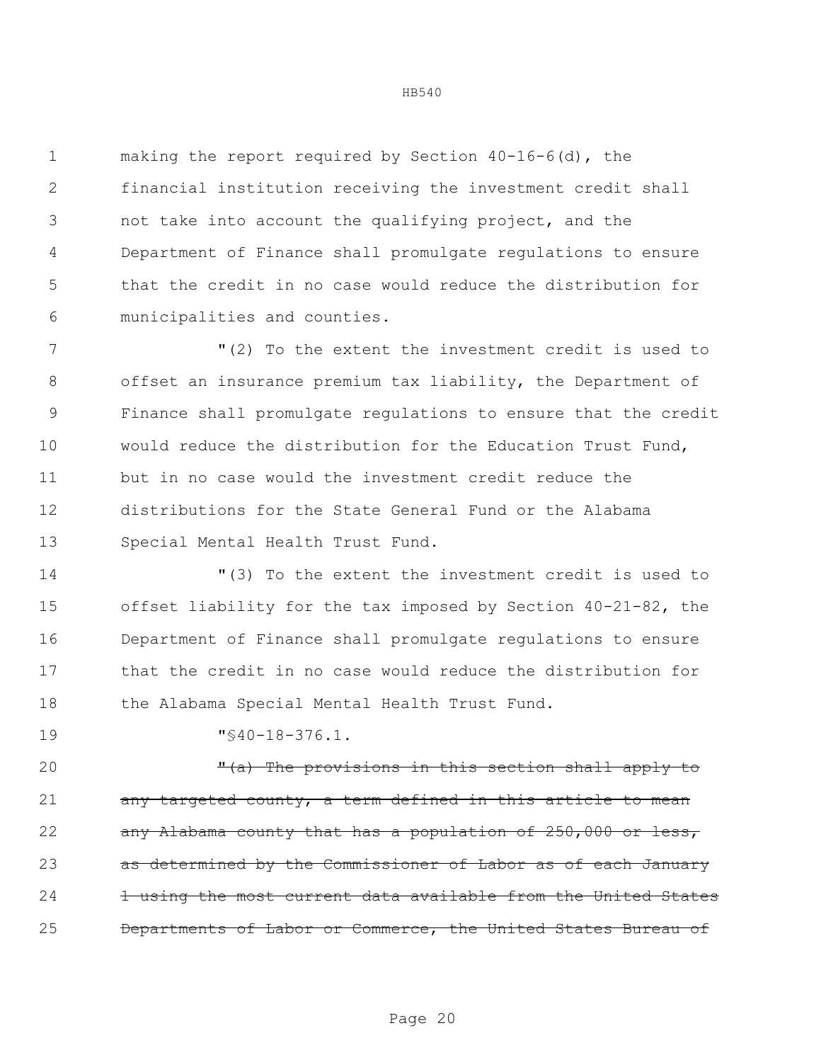making the report required by Section 40-16-6(d), the financial institution receiving the investment credit shall not take into account the qualifying project, and the Department of Finance shall promulgate regulations to ensure that the credit in no case would reduce the distribution for municipalities and counties.

 "(2) To the extent the investment credit is used to offset an insurance premium tax liability, the Department of Finance shall promulgate regulations to ensure that the credit would reduce the distribution for the Education Trust Fund, but in no case would the investment credit reduce the distributions for the State General Fund or the Alabama Special Mental Health Trust Fund.

 "(3) To the extent the investment credit is used to offset liability for the tax imposed by Section 40-21-82, the Department of Finance shall promulgate regulations to ensure that the credit in no case would reduce the distribution for 18 the Alabama Special Mental Health Trust Fund.

"§40-18-376.1.

20 The provisions in this section shall apply to 21 any targeted county, a term defined in this article to mean 22 any Alabama county that has a population of 250,000 or less, as determined by the Commissioner of Labor as of each January 24 1 using the most current data available from the United States Departments of Labor or Commerce, the United States Bureau of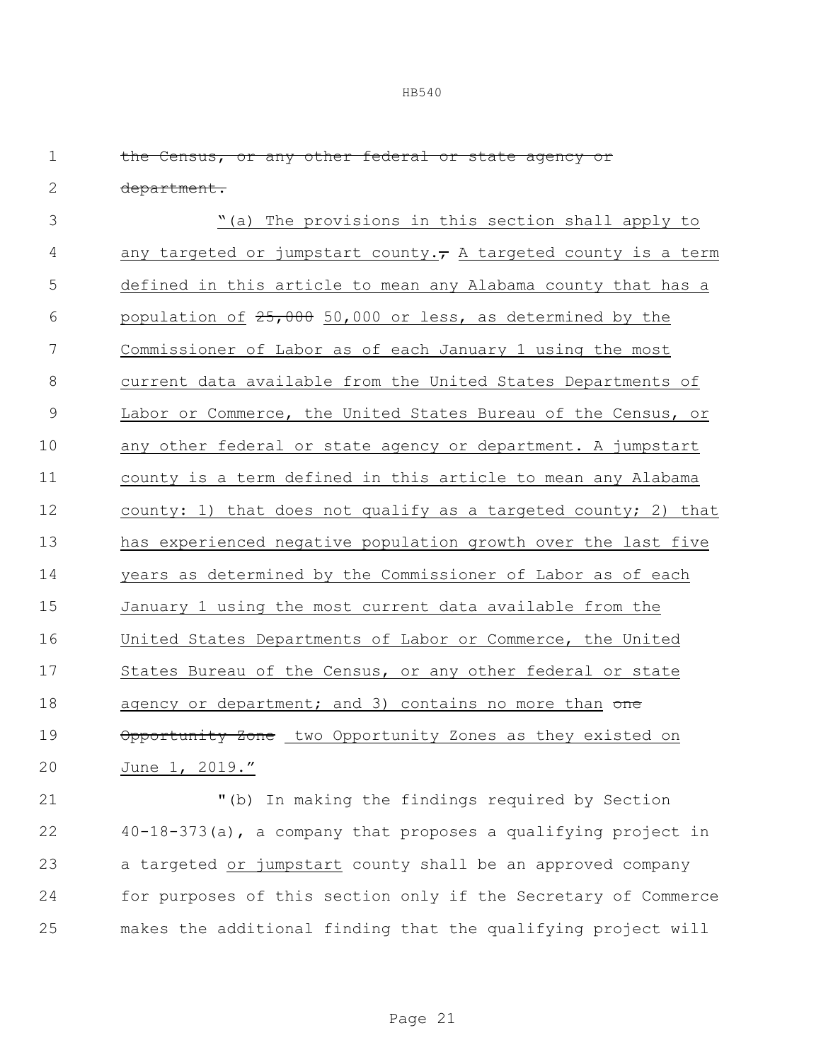| $\mathbf 1$ | the Census, or any other federal or state agency or              |
|-------------|------------------------------------------------------------------|
| $\mathbf 2$ | department.                                                      |
| 3           | "(a) The provisions in this section shall apply to               |
| 4           | any targeted or jumpstart county., A targeted county is a term   |
| 5           | defined in this article to mean any Alabama county that has a    |
| 6           | population of $25,000$ 50,000 or less, as determined by the      |
| 7           | Commissioner of Labor as of each January 1 using the most        |
| 8           | current data available from the United States Departments of     |
| 9           | Labor or Commerce, the United States Bureau of the Census, or    |
| 10          | any other federal or state agency or department. A jumpstart     |
| 11          | county is a term defined in this article to mean any Alabama     |
| 12          | county: 1) that does not qualify as a targeted county; 2) that   |
| 13          | has experienced negative population growth over the last five    |
| 14          | years as determined by the Commissioner of Labor as of each      |
| 15          | January 1 using the most current data available from the         |
| 16          | United States Departments of Labor or Commerce, the United       |
| 17          | States Bureau of the Census, or any other federal or state       |
| 18          | agency or department; and 3) contains no more than one           |
| 19          | Opportunity Zone two Opportunity Zones as they existed on        |
| 20          | June 1, 2019."                                                   |
| 21          | "(b) In making the findings required by Section                  |
| 22          | $40-18-373$ (a), a company that proposes a qualifying project in |
|             |                                                                  |

23 a targeted or jumpstart county shall be an approved company 24 for purposes of this section only if the Secretary of Commerce 25 makes the additional finding that the qualifying project will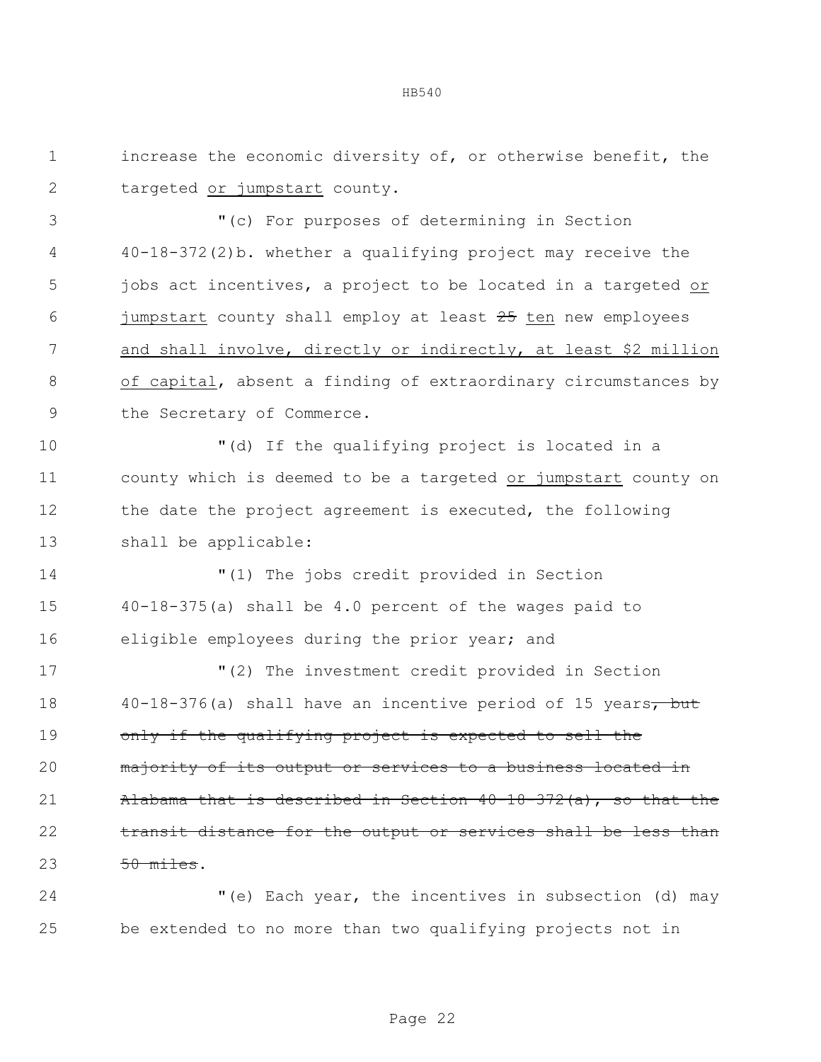increase the economic diversity of, or otherwise benefit, the targeted or jumpstart county.

 "(c) For purposes of determining in Section 40-18-372(2)b. whether a qualifying project may receive the jobs act incentives, a project to be located in a targeted or 6 jumpstart county shall employ at least ten new employees and shall involve, directly or indirectly, at least \$2 million of capital, absent a finding of extraordinary circumstances by the Secretary of Commerce.

 "(d) If the qualifying project is located in a county which is deemed to be a targeted or jumpstart county on the date the project agreement is executed, the following shall be applicable:

 "(1) The jobs credit provided in Section 40-18-375(a) shall be 4.0 percent of the wages paid to eligible employees during the prior year; and

 "(2) The investment credit provided in Section 18 40-18-376(a) shall have an incentive period of 15 years, but 19 only if the qualifying project is expected to sell the 20 majority of its output or services to a business located in Alabama that is described in Section 40-18-372(a), so that the 22 transit distance for the output or services shall be less than 23 50 miles.

 "(e) Each year, the incentives in subsection (d) may be extended to no more than two qualifying projects not in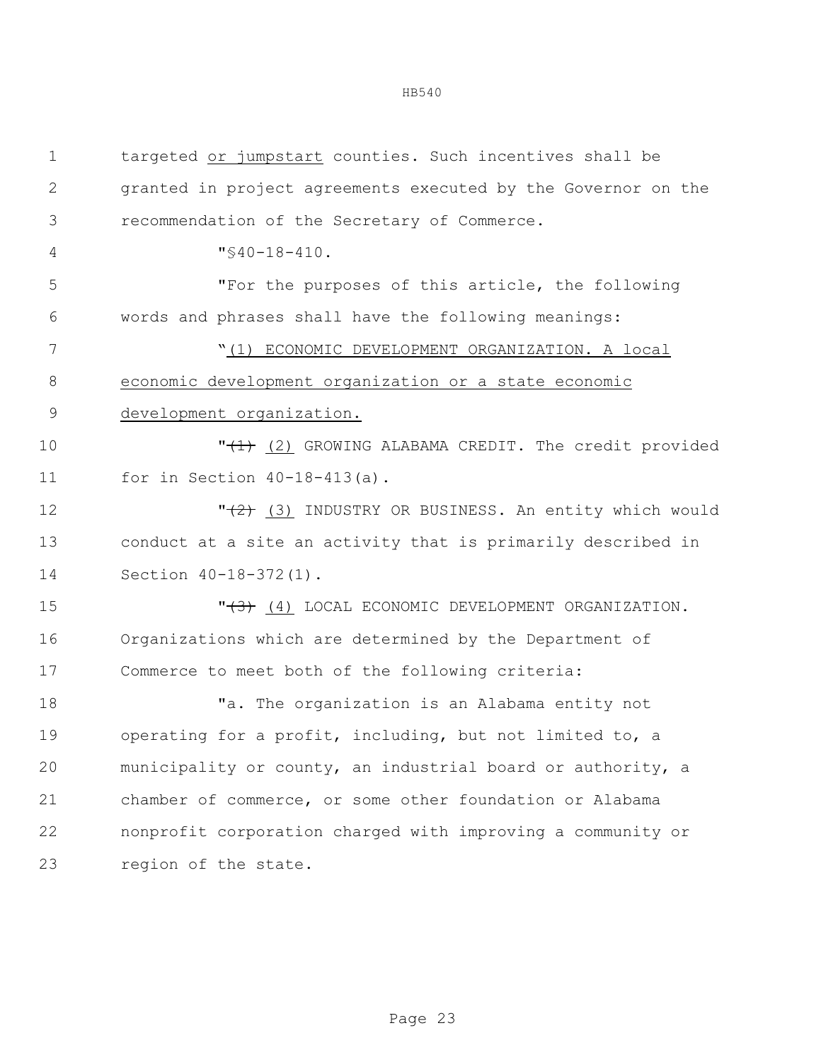| $\mathbf 1$    | targeted or jumpstart counties. Such incentives shall be      |
|----------------|---------------------------------------------------------------|
| $\mathbf{2}$   | granted in project agreements executed by the Governor on the |
| 3              | recommendation of the Secretary of Commerce.                  |
| $\overline{4}$ | $\sqrt{540-18-410}$ .                                         |
| 5              | "For the purposes of this article, the following              |
| 6              | words and phrases shall have the following meanings:          |
| 7              | "(1) ECONOMIC DEVELOPMENT ORGANIZATION. A local               |
| $8\,$          | economic development organization or a state economic         |
| $\mathcal{G}$  | development organization.                                     |
| 10             | "(1) (2) GROWING ALABAMA CREDIT. The credit provided          |
| 11             | for in Section $40 - 18 - 413$ (a).                           |
| 12             | " $(2)$ (3) INDUSTRY OR BUSINESS. An entity which would       |
| 13             | conduct at a site an activity that is primarily described in  |
| 14             | Section 40-18-372(1).                                         |
| 15             | $"$ (4) LOCAL ECONOMIC DEVELOPMENT ORGANIZATION.              |
| 16             | Organizations which are determined by the Department of       |
| 17             | Commerce to meet both of the following criteria:              |
| 18             | "a. The organization is an Alabama entity not                 |
| 19             | operating for a profit, including, but not limited to, a      |
| 20             | municipality or county, an industrial board or authority, a   |
| 21             | chamber of commerce, or some other foundation or Alabama      |
| 22             | nonprofit corporation charged with improving a community or   |
| 23             | region of the state.                                          |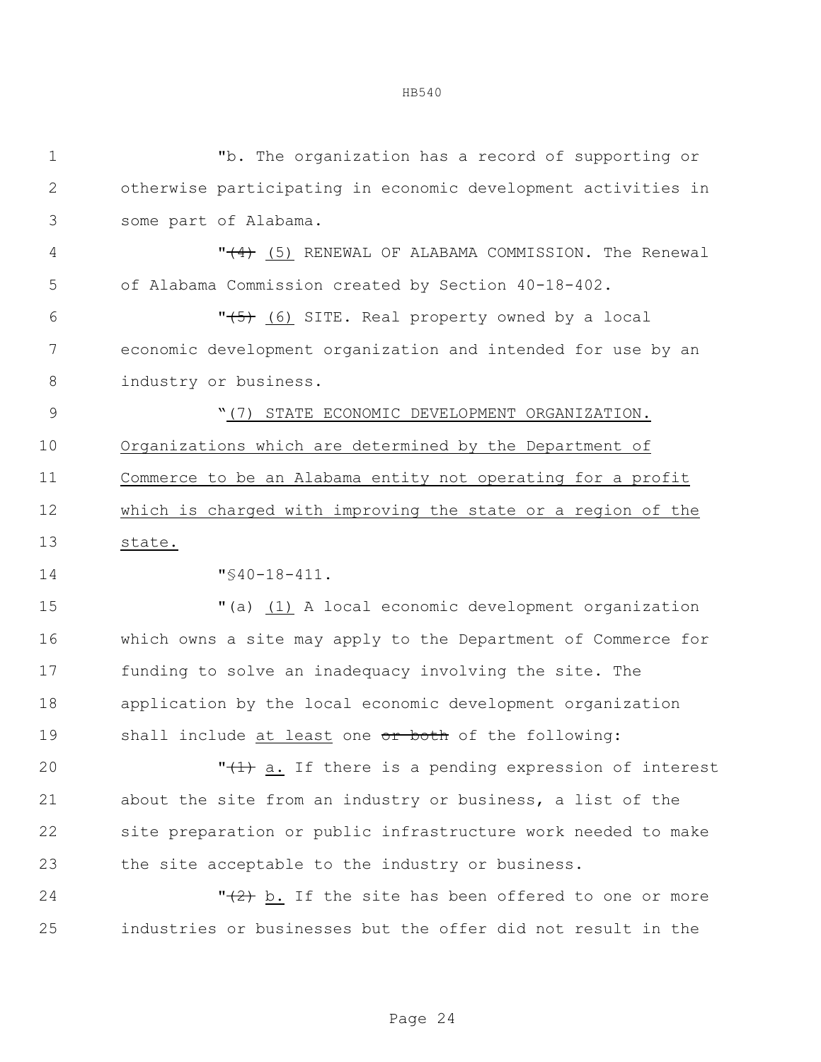| I |  |  |
|---|--|--|
|---|--|--|

| $\mathbf 1$ | "b. The organization has a record of supporting or              |
|-------------|-----------------------------------------------------------------|
| 2           | otherwise participating in economic development activities in   |
| 3           | some part of Alabama.                                           |
| 4           | " <del>(4)</del> (5) RENEWAL OF ALABAMA COMMISSION. The Renewal |
| 5           | of Alabama Commission created by Section 40-18-402.             |
| 6           | "(5) (6) SITE. Real property owned by a local                   |
| 7           | economic development organization and intended for use by an    |
| 8           | industry or business.                                           |
| 9           | "(7) STATE ECONOMIC DEVELOPMENT ORGANIZATION.                   |
| 10          | Organizations which are determined by the Department of         |
| 11          | Commerce to be an Alabama entity not operating for a profit     |
| 12          | which is charged with improving the state or a region of the    |
| 13          | state.                                                          |
| 14          | $"$ \$40-18-411.                                                |
| 15          | "(a) (1) A local economic development organization              |
| 16          | which owns a site may apply to the Department of Commerce for   |
| 17          | funding to solve an inadequacy involving the site. The          |
| 18          | application by the local economic development organization      |
| 19          | shall include at least one or both of the following:            |
| 20          | "(1) a. If there is a pending expression of interest            |
| 21          | about the site from an industry or business, a list of the      |
| 22          | site preparation or public infrastructure work needed to make   |
| 23          | the site acceptable to the industry or business.                |
| 24          | $"$ (2) b. If the site has been offered to one or more          |
| 25          | industries or businesses but the offer did not result in the    |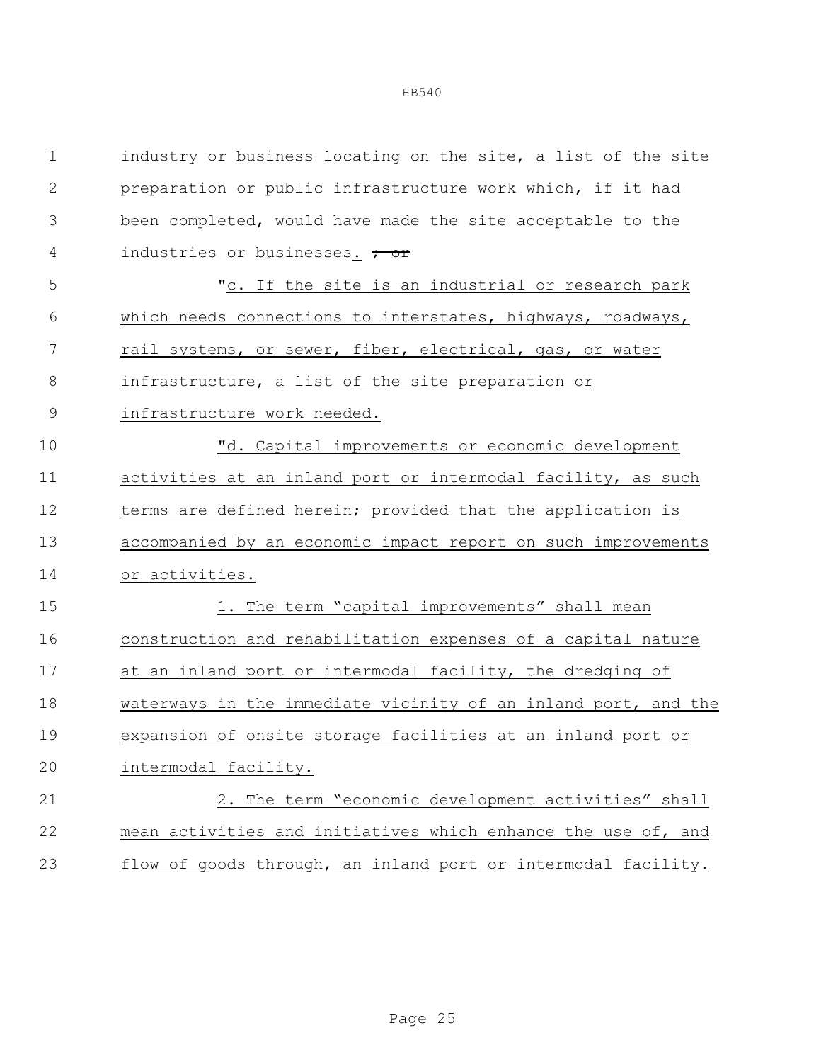| $\mathbf 1$   | industry or business locating on the site, a list of the site  |
|---------------|----------------------------------------------------------------|
| $\mathbf{2}$  | preparation or public infrastructure work which, if it had     |
| 3             | been completed, would have made the site acceptable to the     |
| 4             | industries or businesses. <del>; or</del>                      |
| 5             | "c. If the site is an industrial or research park              |
| 6             | which needs connections to interstates, highways, roadways,    |
| 7             | rail systems, or sewer, fiber, electrical, gas, or water       |
| $8\,$         | infrastructure, a list of the site preparation or              |
| $\mathcal{G}$ | infrastructure work needed.                                    |
| 10            | "d. Capital improvements or economic development               |
| 11            | activities at an inland port or intermodal facility, as such   |
| 12            | terms are defined herein; provided that the application is     |
| 13            | accompanied by an economic impact report on such improvements  |
| 14            | or activities.                                                 |
| 15            | 1. The term "capital improvements" shall mean                  |
| 16            | construction and rehabilitation expenses of a capital nature   |
| 17            | at an inland port or intermodal facility, the dredging of      |
| 18            | waterways in the immediate vicinity of an inland port, and the |
| 19            | expansion of onsite storage facilities at an inland port or    |
| 20            | intermodal facility.                                           |
| 21            | 2. The term "economic development activities" shall            |
| 22            | mean activities and initiatives which enhance the use of, and  |
| 23            | flow of goods through, an inland port or intermodal facility.  |
|               |                                                                |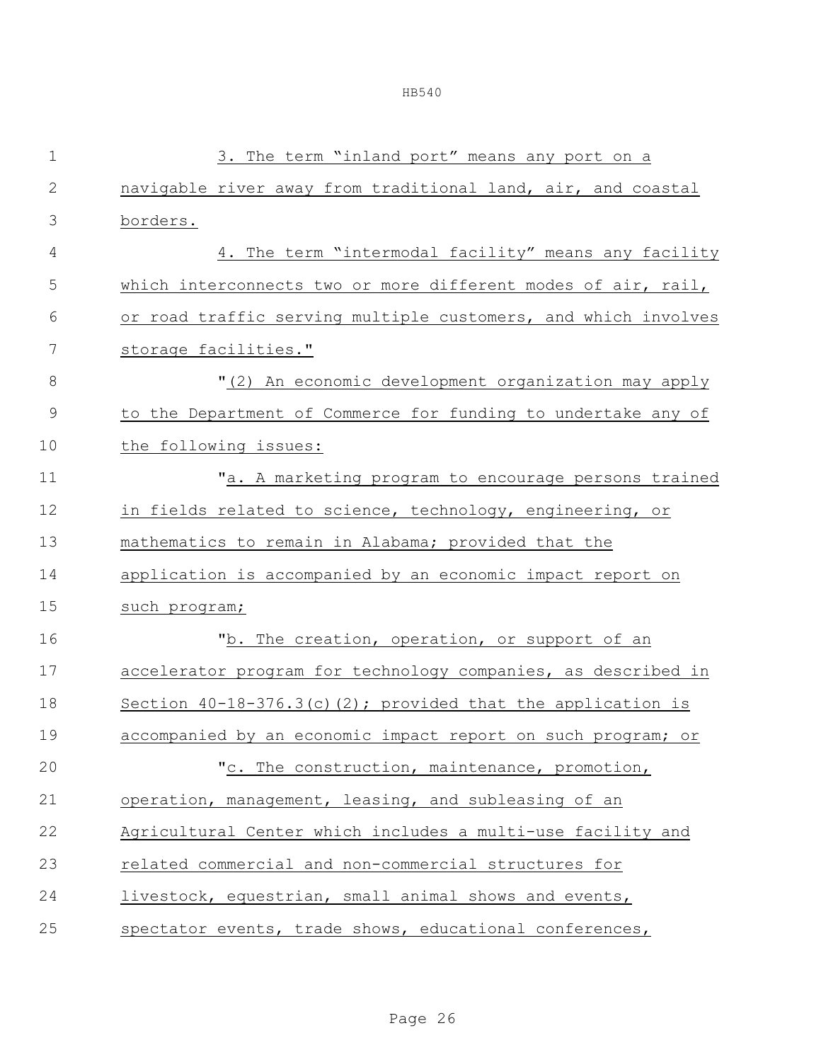| $1\,$         | 3. The term "inland port" means any port on a                  |
|---------------|----------------------------------------------------------------|
| $\mathbf{2}$  | navigable river away from traditional land, air, and coastal   |
| 3             | borders.                                                       |
| 4             | 4. The term "intermodal facility" means any facility           |
| 5             | which interconnects two or more different modes of air, rail,  |
| 6             | or road traffic serving multiple customers, and which involves |
| 7             | storage facilities."                                           |
| 8             | "(2) An economic development organization may apply            |
| $\mathcal{G}$ | to the Department of Commerce for funding to undertake any of  |
| 10            | the following issues:                                          |
| 11            | "a. A marketing program to encourage persons trained           |
| 12            | in fields related to science, technology, engineering, or      |
| 13            | mathematics to remain in Alabama; provided that the            |
| 14            | application is accompanied by an economic impact report on     |
| 15            | such program;                                                  |
| 16            | "b. The creation, operation, or support of an                  |
| 17            | accelerator program for technology companies, as described in  |
| 18            | Section $40-18-376.3(c)$ (2); provided that the application is |
| 19            | accompanied by an economic impact report on such program; or   |
| 20            | "c. The construction, maintenance, promotion,                  |
| 21            | operation, management, leasing, and subleasing of an           |
| 22            | Agricultural Center which includes a multi-use facility and    |
| 23            | related commercial and non-commercial structures for           |
| 24            | livestock, equestrian, small animal shows and events,          |
| 25            | spectator events, trade shows, educational conferences,        |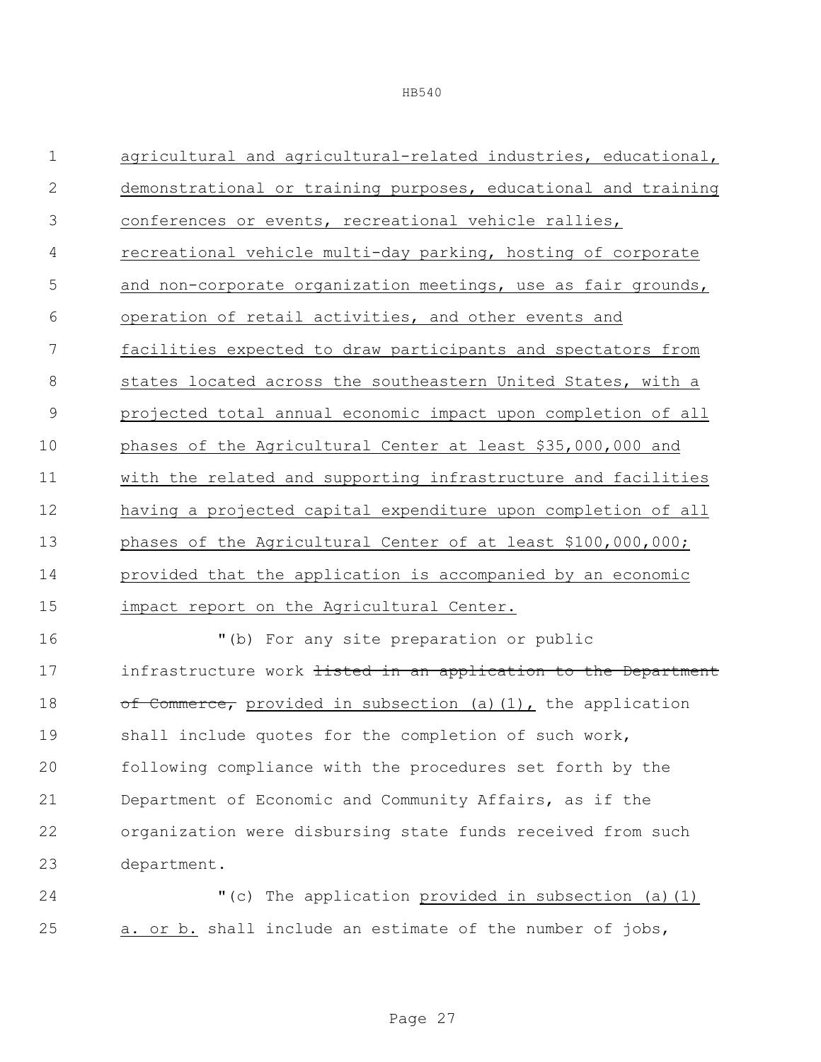| $\mathbf 1$   | agricultural and agricultural-related industries, educational,            |
|---------------|---------------------------------------------------------------------------|
| $\mathbf 2$   | demonstrational or training purposes, educational and training            |
| 3             | conferences or events, recreational vehicle rallies,                      |
| 4             | recreational vehicle multi-day parking, hosting of corporate              |
| 5             | and non-corporate organization meetings, use as fair grounds,             |
| 6             | operation of retail activities, and other events and                      |
| 7             | facilities expected to draw participants and spectators from              |
| 8             | states located across the southeastern United States, with a              |
| $\mathcal{G}$ | projected total annual economic impact upon completion of all             |
| 10            | phases of the Agricultural Center at least \$35,000,000 and               |
| 11            | with the related and supporting infrastructure and facilities             |
| 12            | having a projected capital expenditure upon completion of all             |
| 13            | phases of the Agricultural Center of at least \$100,000,000;              |
| 14            | provided that the application is accompanied by an economic               |
| 15            | impact report on the Agricultural Center.                                 |
| 16            | "(b) For any site preparation or public                                   |
| 17            | infrastructure work <del>listed in an application to the Department</del> |
| 18            | of Commerce, provided in subsection (a) (1), the application              |
| 19            | shall include quotes for the completion of such work,                     |
| 20            | following compliance with the procedures set forth by the                 |
| 21            | Department of Economic and Community Affairs, as if the                   |
| 22            | organization were disbursing state funds received from such               |
| 23            | department.                                                               |

 "(c) The application provided in subsection (a)(1) 25 a. or b. shall include an estimate of the number of jobs,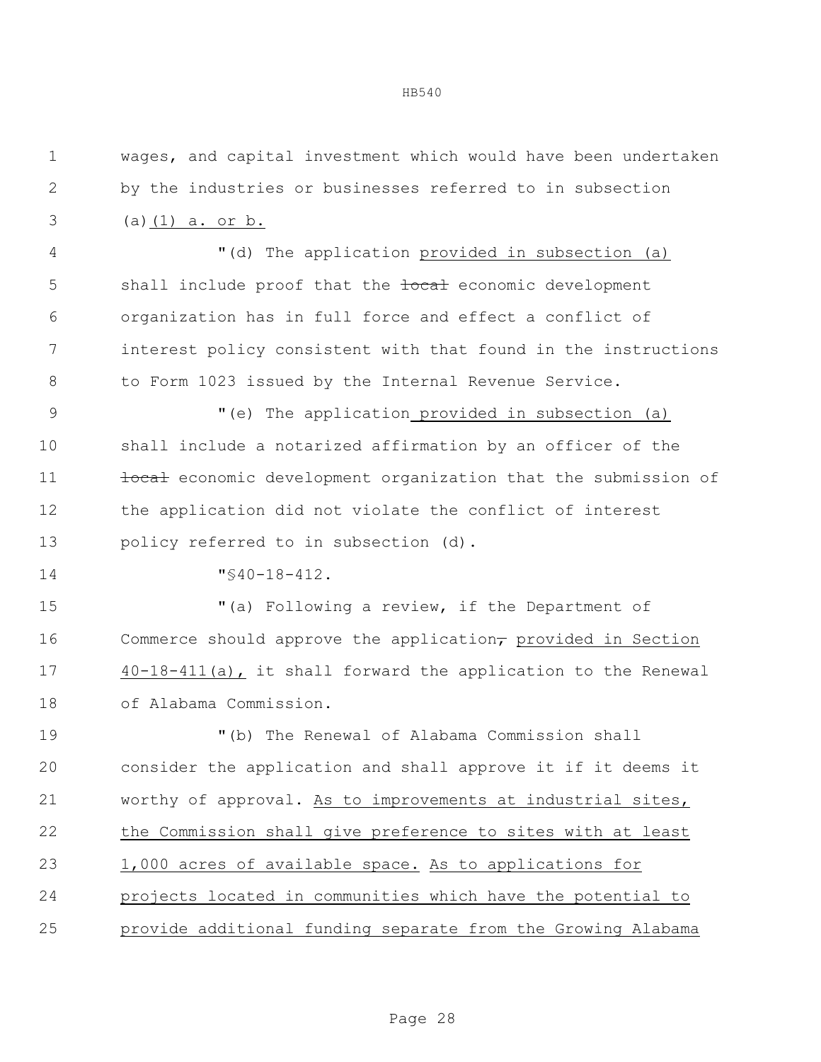| $\mathbf 1$    | wages, and capital investment which would have been undertaken           |
|----------------|--------------------------------------------------------------------------|
| $\mathbf{2}$   | by the industries or businesses referred to in subsection                |
| 3              | (a) $(1)$ a. or b.                                                       |
| $\overline{4}$ | "(d) The application provided in subsection (a)                          |
| 5              | shall include proof that the tocal economic development                  |
| 6              | organization has in full force and effect a conflict of                  |
| 7              | interest policy consistent with that found in the instructions           |
| 8              | to Form 1023 issued by the Internal Revenue Service.                     |
| $\mathcal{G}$  | "(e) The application provided in subsection (a)                          |
| 10             | shall include a notarized affirmation by an officer of the               |
| 11             | tocal economic development organization that the submission of           |
| 12             | the application did not violate the conflict of interest                 |
| 13             | policy referred to in subsection (d).                                    |
| 14             | $"$ \$40-18-412.                                                         |
| 15             | "(a) Following a review, if the Department of                            |
| 16             | Commerce should approve the application <sub>7</sub> provided in Section |
| 17             | 40-18-411(a), it shall forward the application to the Renewal            |
| 18             | of Alabama Commission.                                                   |
| 19             | "(b) The Renewal of Alabama Commission shall                             |
| 20             | consider the application and shall approve it if it deems it             |
| 21             | worthy of approval. As to improvements at industrial sites,              |
| 22             | the Commission shall give preference to sites with at least              |
| 23             | 1,000 acres of available space. As to applications for                   |
| 24             | projects located in communities which have the potential to              |
| 25             | provide additional funding separate from the Growing Alabama             |
|                |                                                                          |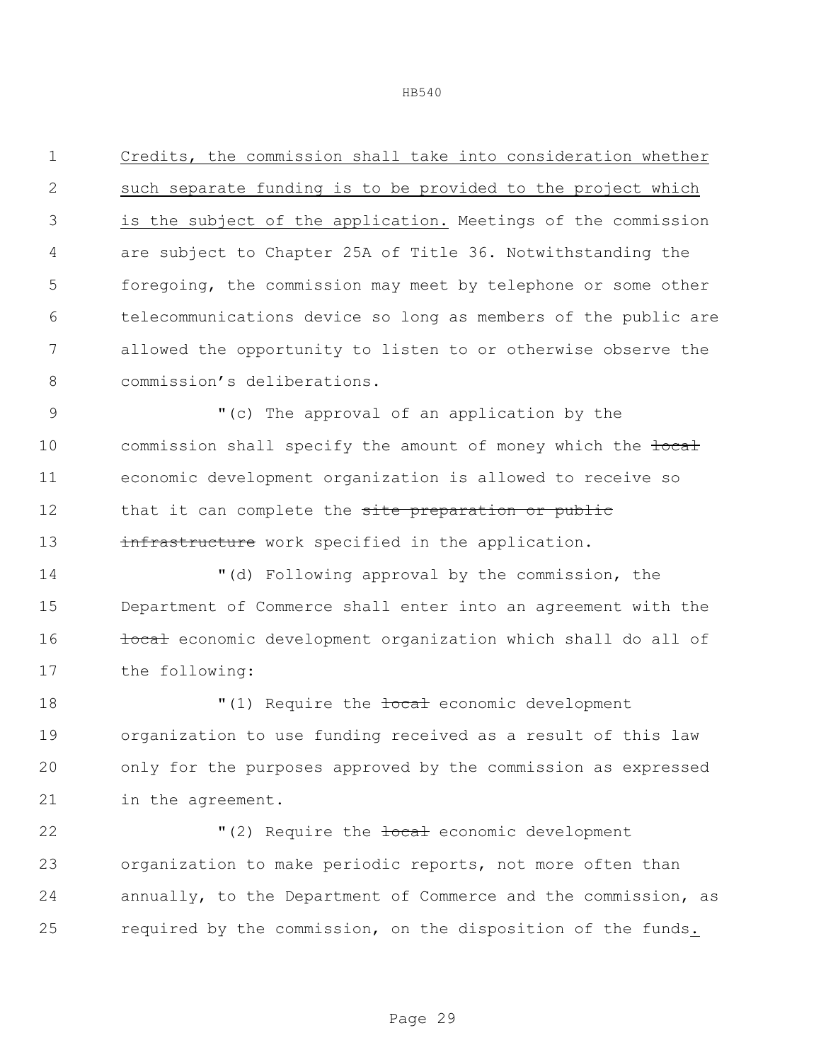Credits, the commission shall take into consideration whether such separate funding is to be provided to the project which is the subject of the application. Meetings of the commission are subject to Chapter 25A of Title 36. Notwithstanding the foregoing, the commission may meet by telephone or some other telecommunications device so long as members of the public are allowed the opportunity to listen to or otherwise observe the commission's deliberations.

 "(c) The approval of an application by the 10 commission shall specify the amount of money which the tocal economic development organization is allowed to receive so 12 that it can complete the site preparation or public 13 infrastructure work specified in the application.

 "(d) Following approval by the commission, the Department of Commerce shall enter into an agreement with the **local** economic development organization which shall do all of the following:

 $\blacksquare(1)$  Require the <del>local</del> economic development organization to use funding received as a result of this law only for the purposes approved by the commission as expressed in the agreement.

 $(2)$  Require the tocal economic development organization to make periodic reports, not more often than annually, to the Department of Commerce and the commission, as required by the commission, on the disposition of the funds.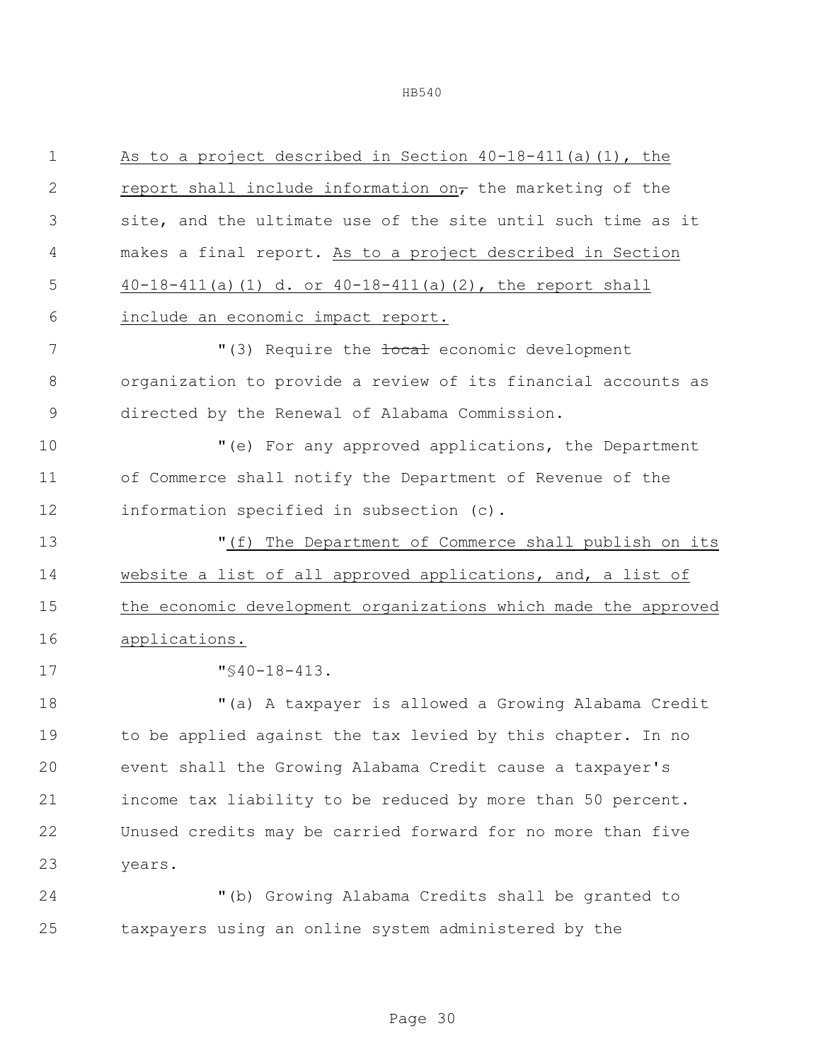| $\mathbf 1$   | As to a project described in Section 40-18-411(a) (1), the      |
|---------------|-----------------------------------------------------------------|
| $\mathbf{2}$  | report shall include information on, the marketing of the       |
| 3             | site, and the ultimate use of the site until such time as it    |
| 4             | makes a final report. As to a project described in Section      |
| 5             | $40-18-411$ (a) (1) d. or $40-18-411$ (a) (2), the report shall |
| 6             | include an economic impact report.                              |
| 7             | "(3) Require the <b>focal</b> economic development              |
| 8             | organization to provide a review of its financial accounts as   |
| $\mathcal{G}$ | directed by the Renewal of Alabama Commission.                  |
| 10            | "(e) For any approved applications, the Department              |
| 11            | of Commerce shall notify the Department of Revenue of the       |
| 12            | information specified in subsection (c).                        |
| 13            | "(f) The Department of Commerce shall publish on its            |
| 14            | website a list of all approved applications, and, a list of     |
| 15            | the economic development organizations which made the approved  |
| 16            | applications.                                                   |
| 17            | $"$ \$40-18-413.                                                |
| 18            | "(a) A taxpayer is allowed a Growing Alabama Credit             |
| 19            | to be applied against the tax levied by this chapter. In no     |
| 20            | event shall the Growing Alabama Credit cause a taxpayer's       |
| 21            | income tax liability to be reduced by more than 50 percent.     |
| 22            | Unused credits may be carried forward for no more than five     |
| 23            | years.                                                          |
| 24            | "(b) Growing Alabama Credits shall be granted to                |

taxpayers using an online system administered by the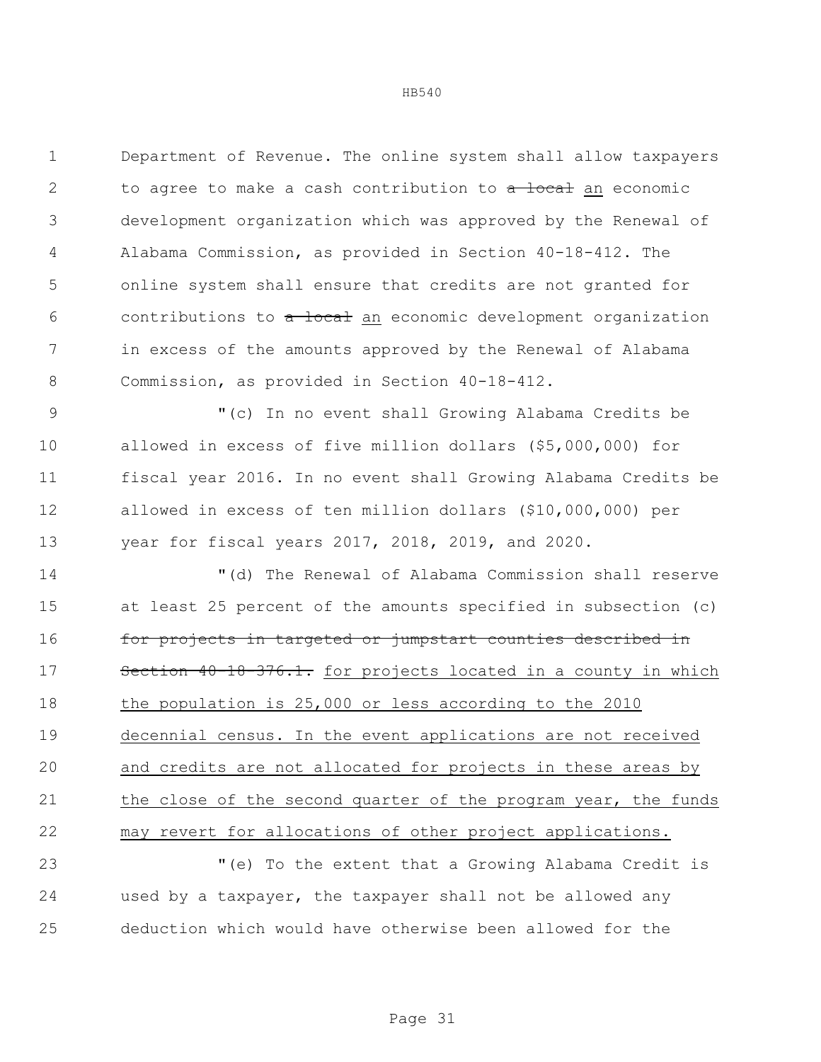Department of Revenue. The online system shall allow taxpayers 2 to agree to make a cash contribution to a local an economic development organization which was approved by the Renewal of Alabama Commission, as provided in Section 40-18-412. The online system shall ensure that credits are not granted for 6 contributions to a local an economic development organization in excess of the amounts approved by the Renewal of Alabama Commission, as provided in Section 40-18-412.

 "(c) In no event shall Growing Alabama Credits be allowed in excess of five million dollars (\$5,000,000) for fiscal year 2016. In no event shall Growing Alabama Credits be allowed in excess of ten million dollars (\$10,000,000) per year for fiscal years 2017, 2018, 2019, and 2020.

 "(d) The Renewal of Alabama Commission shall reserve at least 25 percent of the amounts specified in subsection (c) 16 for projects in targeted or jumpstart counties described in 17 Section 40-18-376.1. for projects located in a county in which the population is 25,000 or less according to the 2010 decennial census. In the event applications are not received and credits are not allocated for projects in these areas by the close of the second quarter of the program year, the funds may revert for allocations of other project applications.

 "(e) To the extent that a Growing Alabama Credit is used by a taxpayer, the taxpayer shall not be allowed any deduction which would have otherwise been allowed for the

Page 31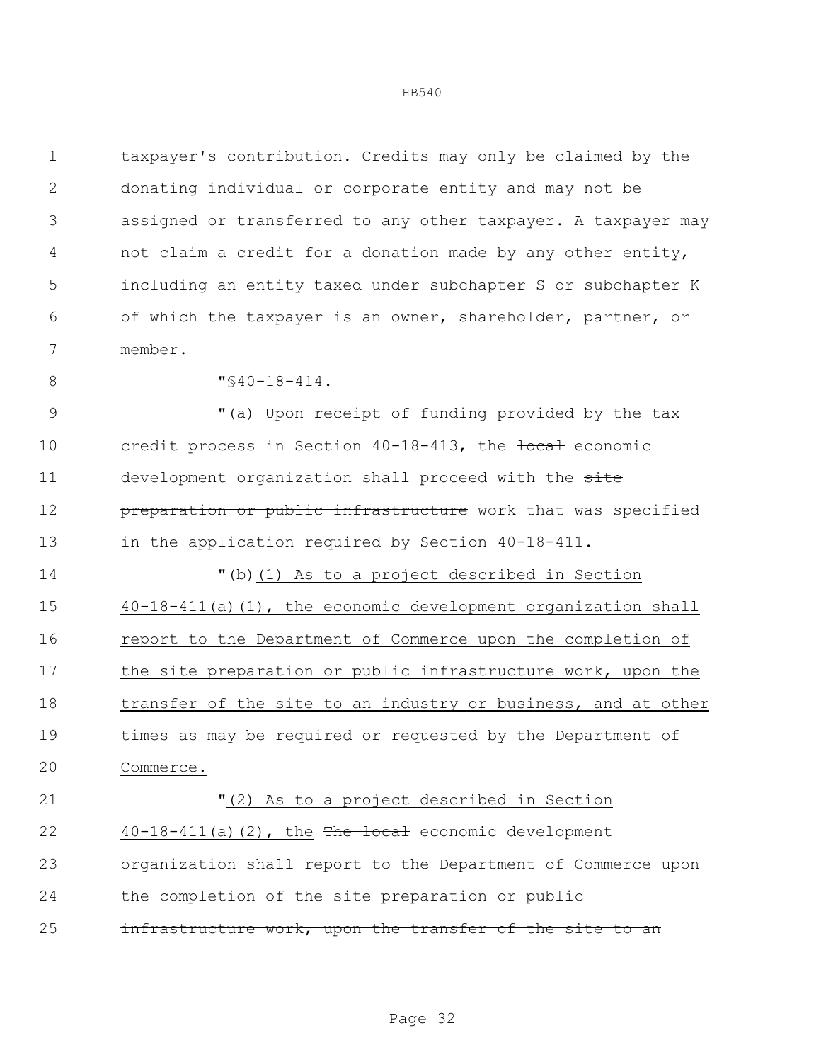taxpayer's contribution. Credits may only be claimed by the donating individual or corporate entity and may not be assigned or transferred to any other taxpayer. A taxpayer may not claim a credit for a donation made by any other entity, including an entity taxed under subchapter S or subchapter K of which the taxpayer is an owner, shareholder, partner, or member.

8  $\sqrt{840-18-414}$ .

9 "(a) Upon receipt of funding provided by the tax 10 credit process in Section 40-18-413, the tocal economic 11 development organization shall proceed with the site **preparation or public infrastructure** work that was specified in the application required by Section 40-18-411.

 "(b)(1) As to a project described in Section 40-18-411(a)(1), the economic development organization shall report to the Department of Commerce upon the completion of 17 the site preparation or public infrastructure work, upon the transfer of the site to an industry or business, and at other times as may be required or requested by the Department of Commerce.

 "(2) As to a project described in Section 22  $40-18-411(a)(2)$ , the The local economic development organization shall report to the Department of Commerce upon 24 the completion of the site preparation or public 25 infrastructure work, upon the transfer of the site to an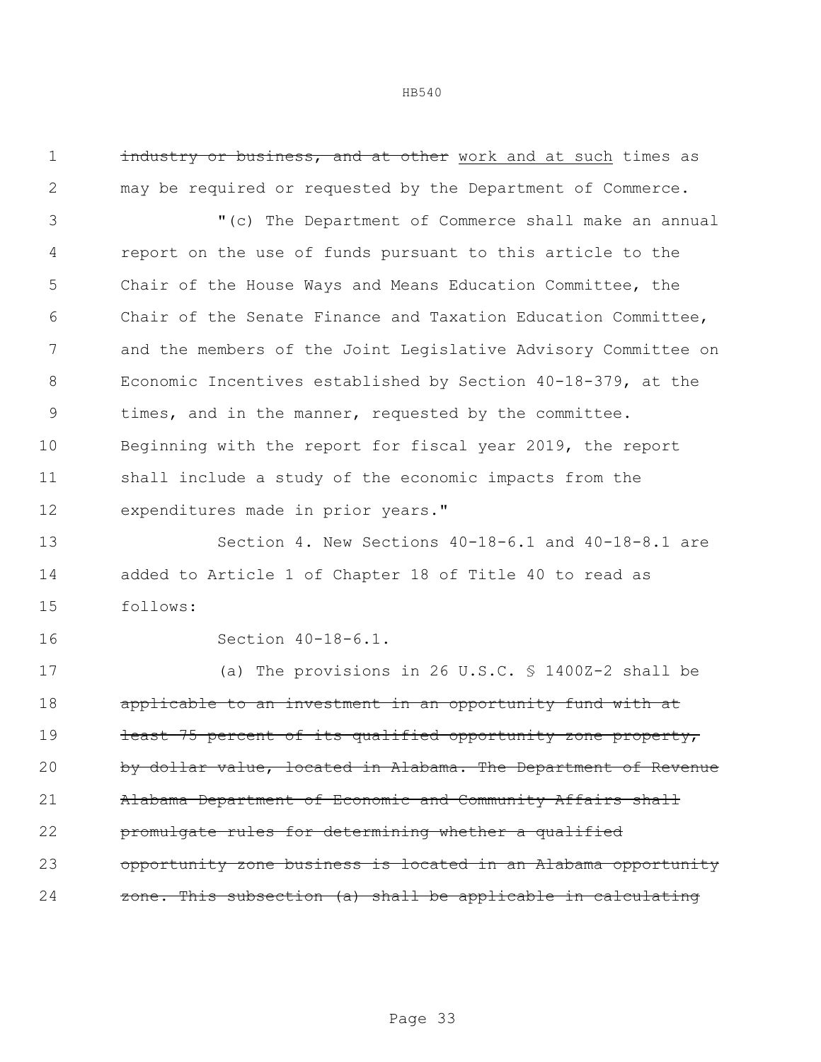1 industry or business, and at other work and at such times as may be required or requested by the Department of Commerce.

 "(c) The Department of Commerce shall make an annual report on the use of funds pursuant to this article to the Chair of the House Ways and Means Education Committee, the Chair of the Senate Finance and Taxation Education Committee, and the members of the Joint Legislative Advisory Committee on Economic Incentives established by Section 40-18-379, at the times, and in the manner, requested by the committee. Beginning with the report for fiscal year 2019, the report shall include a study of the economic impacts from the expenditures made in prior years."

 Section 4. New Sections 40-18-6.1 and 40-18-8.1 are added to Article 1 of Chapter 18 of Title 40 to read as follows:

Section 40-18-6.1.

 (a) The provisions in 26 U.S.C. § 1400Z-2 shall be applicable to an investment in an opportunity fund with at 19 least 75 percent of its qualified opportunity zone property, 20 by dollar value, located in Alabama. The Department of Revenue 21 Alabama Department of Economic and Community Affairs shall promulgate rules for determining whether a qualified opportunity zone business is located in an Alabama opportunity zone. This subsection (a) shall be applicable in calculating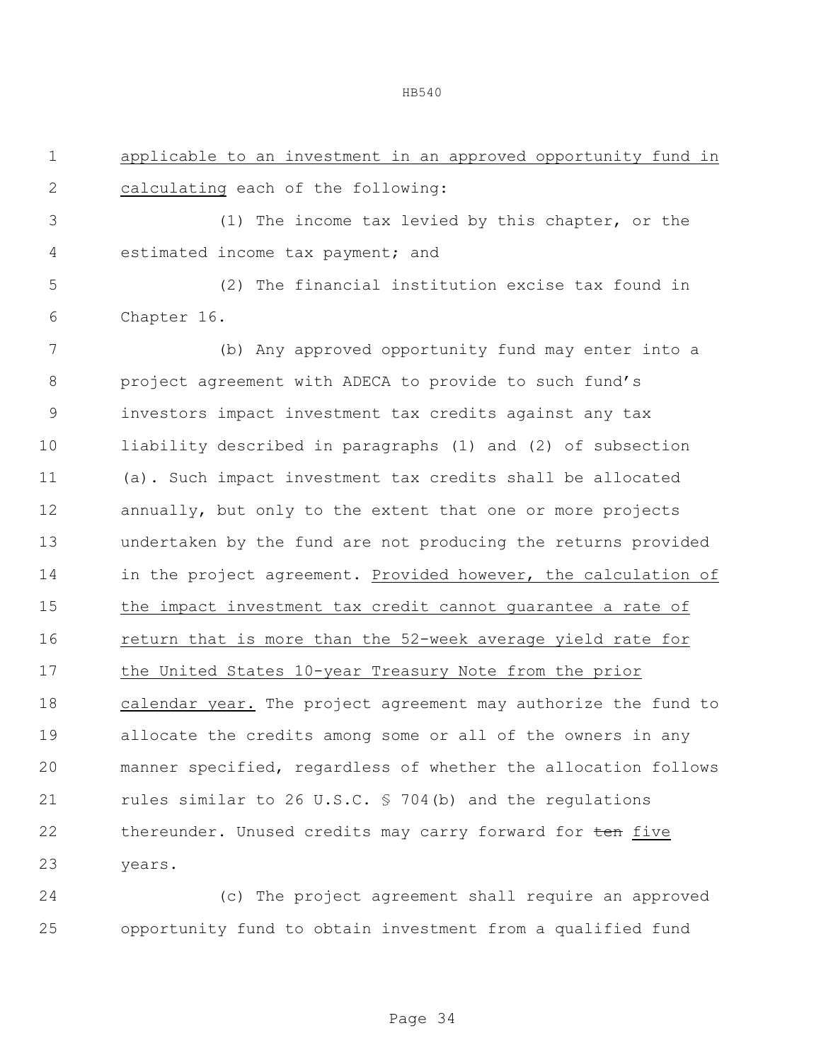applicable to an investment in an approved opportunity fund in

(1) The income tax levied by this chapter, or the

2 calculating each of the following:

| 4           | estimated income tax payment; and                              |
|-------------|----------------------------------------------------------------|
| 5           | (2) The financial institution excise tax found in              |
| 6           | Chapter 16.                                                    |
| 7           | (b) Any approved opportunity fund may enter into a             |
| 8           | project agreement with ADECA to provide to such fund's         |
| $\mathsf 9$ | investors impact investment tax credits against any tax        |
| 10          | liability described in paragraphs (1) and (2) of subsection    |
| 11          | (a). Such impact investment tax credits shall be allocated     |
| 12          | annually, but only to the extent that one or more projects     |
| 13          | undertaken by the fund are not producing the returns provided  |
| 14          | in the project agreement. Provided however, the calculation of |
| 15          | the impact investment tax credit cannot guarantee a rate of    |
| 16          | return that is more than the 52-week average yield rate for    |
| 17          | the United States 10-year Treasury Note from the prior         |
| 18          | calendar year. The project agreement may authorize the fund to |
| 19          | allocate the credits among some or all of the owners in any    |
| 20          | manner specified, regardless of whether the allocation follows |
| 21          | rules similar to 26 U.S.C. § 704(b) and the regulations        |
| 22          | thereunder. Unused credits may carry forward for ten five      |
| 23          | years.                                                         |
|             |                                                                |

 (c) The project agreement shall require an approved opportunity fund to obtain investment from a qualified fund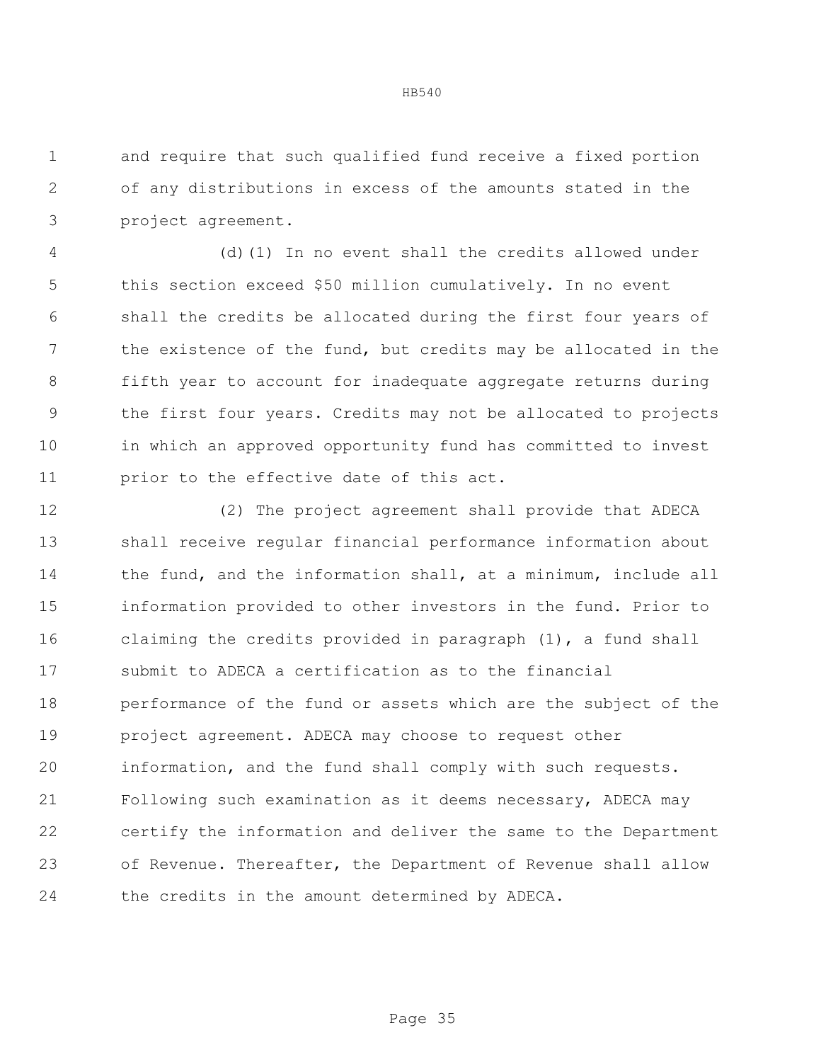and require that such qualified fund receive a fixed portion of any distributions in excess of the amounts stated in the project agreement.

 (d)(1) In no event shall the credits allowed under this section exceed \$50 million cumulatively. In no event shall the credits be allocated during the first four years of the existence of the fund, but credits may be allocated in the fifth year to account for inadequate aggregate returns during the first four years. Credits may not be allocated to projects in which an approved opportunity fund has committed to invest 11 prior to the effective date of this act.

 (2) The project agreement shall provide that ADECA shall receive regular financial performance information about 14 the fund, and the information shall, at a minimum, include all information provided to other investors in the fund. Prior to claiming the credits provided in paragraph (1), a fund shall submit to ADECA a certification as to the financial performance of the fund or assets which are the subject of the project agreement. ADECA may choose to request other information, and the fund shall comply with such requests. Following such examination as it deems necessary, ADECA may certify the information and deliver the same to the Department of Revenue. Thereafter, the Department of Revenue shall allow the credits in the amount determined by ADECA.

Page 35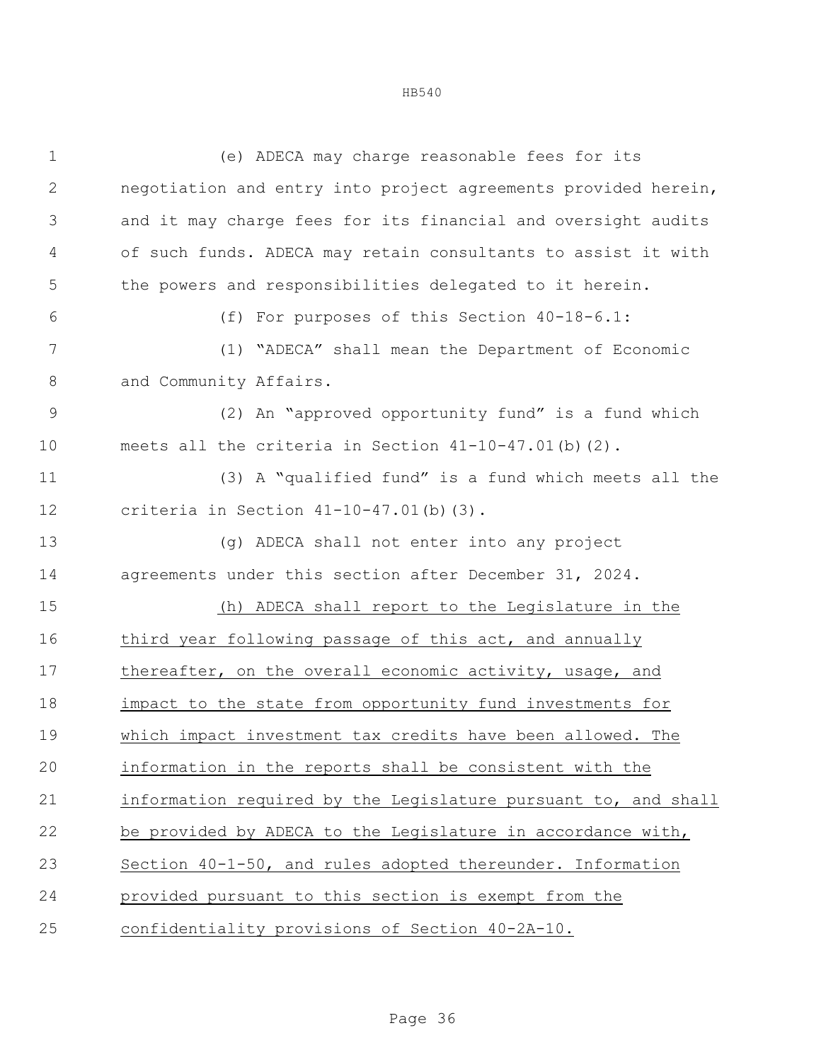| $\mathbf 1$   | (e) ADECA may charge reasonable fees for its                   |  |
|---------------|----------------------------------------------------------------|--|
| $\mathbf{2}$  | negotiation and entry into project agreements provided herein, |  |
| 3             | and it may charge fees for its financial and oversight audits  |  |
| 4             | of such funds. ADECA may retain consultants to assist it with  |  |
| 5             | the powers and responsibilities delegated to it herein.        |  |
| 6             | (f) For purposes of this Section 40-18-6.1:                    |  |
| 7             | (1) "ADECA" shall mean the Department of Economic              |  |
| $\,8\,$       | and Community Affairs.                                         |  |
| $\mathcal{G}$ | (2) An "approved opportunity fund" is a fund which             |  |
| 10            | meets all the criteria in Section 41-10-47.01(b)(2).           |  |
| 11            | (3) A "qualified fund" is a fund which meets all the           |  |
| 12            | criteria in Section $41-10-47.01$ (b) (3).                     |  |
| 13            | (g) ADECA shall not enter into any project                     |  |
| 14            | agreements under this section after December 31, 2024.         |  |
| 15            | (h) ADECA shall report to the Legislature in the               |  |
| 16            | third year following passage of this act, and annually         |  |
| 17            | thereafter, on the overall economic activity, usage, and       |  |
| 18            | impact to the state from opportunity fund investments for      |  |
| 19            | which impact investment tax credits have been allowed. The     |  |
| 20            | information in the reports shall be consistent with the        |  |
| 21            | information required by the Legislature pursuant to, and shall |  |
| 22            | be provided by ADECA to the Legislature in accordance with,    |  |
| 23            | Section 40-1-50, and rules adopted thereunder. Information     |  |
| 24            | provided pursuant to this section is exempt from the           |  |
| 25            | confidentiality provisions of Section 40-2A-10.                |  |
|               |                                                                |  |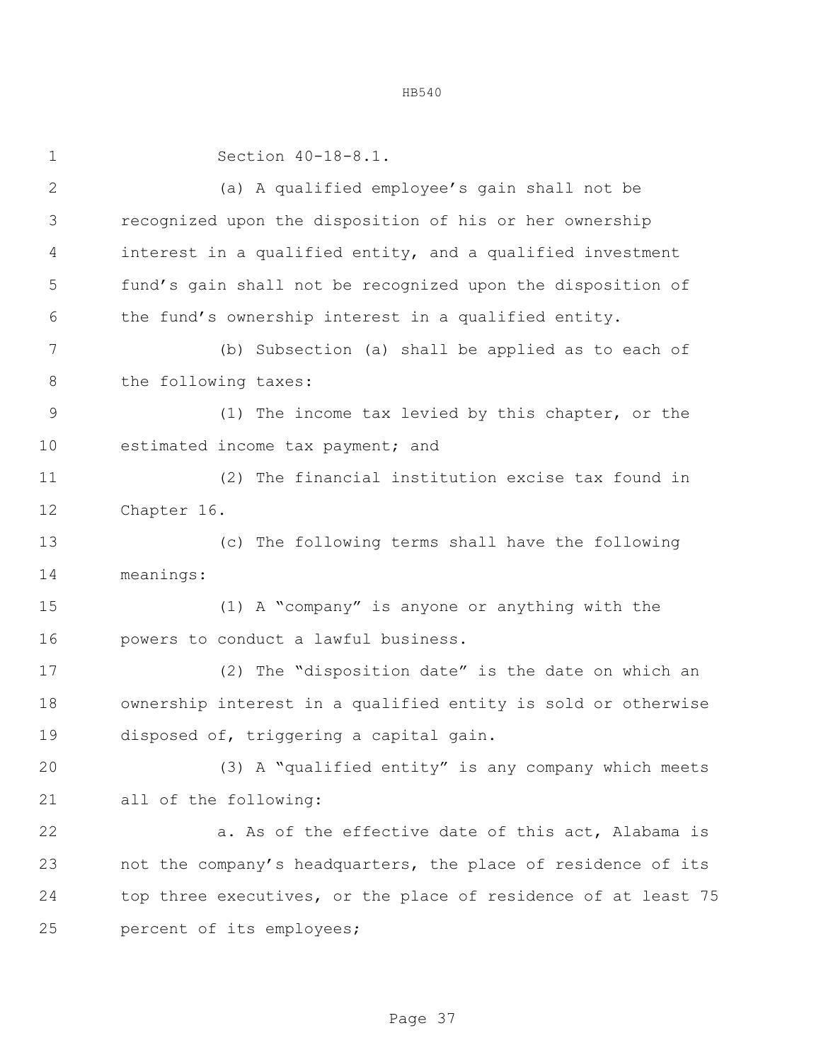| $\mathbf 1$  | Section 40-18-8.1.                                             |  |  |  |  |
|--------------|----------------------------------------------------------------|--|--|--|--|
| $\mathbf{2}$ | (a) A qualified employee's gain shall not be                   |  |  |  |  |
| 3            | recognized upon the disposition of his or her ownership        |  |  |  |  |
| 4            | interest in a qualified entity, and a qualified investment     |  |  |  |  |
| 5            | fund's gain shall not be recognized upon the disposition of    |  |  |  |  |
| 6            | the fund's ownership interest in a qualified entity.           |  |  |  |  |
| 7            | (b) Subsection (a) shall be applied as to each of              |  |  |  |  |
| 8            | the following taxes:                                           |  |  |  |  |
| 9            | (1) The income tax levied by this chapter, or the              |  |  |  |  |
| 10           | estimated income tax payment; and                              |  |  |  |  |
| 11           | (2) The financial institution excise tax found in              |  |  |  |  |
| 12           | Chapter 16.                                                    |  |  |  |  |
| 13           | (c) The following terms shall have the following               |  |  |  |  |
| 14           | meanings:                                                      |  |  |  |  |
| 15           | (1) A "company" is anyone or anything with the                 |  |  |  |  |
| 16           | powers to conduct a lawful business.                           |  |  |  |  |
| 17           | (2) The "disposition date" is the date on which an             |  |  |  |  |
| 18           | ownership interest in a qualified entity is sold or otherwise  |  |  |  |  |
| 19           | disposed of, triggering a capital gain.                        |  |  |  |  |
| 20           | (3) A "qualified entity" is any company which meets            |  |  |  |  |
| 21           | all of the following:                                          |  |  |  |  |
| 22           | a. As of the effective date of this act, Alabama is            |  |  |  |  |
| 23           | not the company's headquarters, the place of residence of its  |  |  |  |  |
| 24           | top three executives, or the place of residence of at least 75 |  |  |  |  |
| 25           | percent of its employees;                                      |  |  |  |  |
|              |                                                                |  |  |  |  |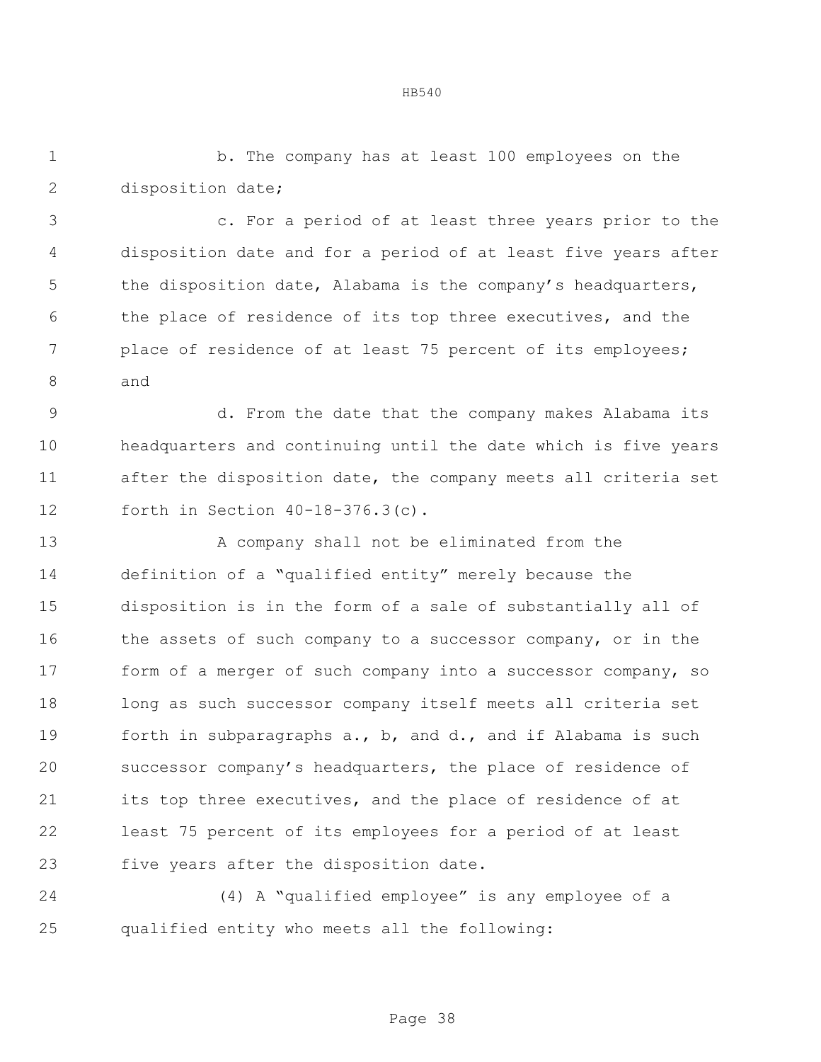b. The company has at least 100 employees on the disposition date;

 c. For a period of at least three years prior to the disposition date and for a period of at least five years after 5 the disposition date, Alabama is the company's headquarters, 6 the place of residence of its top three executives, and the place of residence of at least 75 percent of its employees; and

 d. From the date that the company makes Alabama its headquarters and continuing until the date which is five years after the disposition date, the company meets all criteria set forth in Section 40-18-376.3(c).

13 A company shall not be eliminated from the definition of a "qualified entity" merely because the disposition is in the form of a sale of substantially all of 16 the assets of such company to a successor company, or in the form of a merger of such company into a successor company, so long as such successor company itself meets all criteria set forth in subparagraphs a., b, and d., and if Alabama is such successor company's headquarters, the place of residence of its top three executives, and the place of residence of at least 75 percent of its employees for a period of at least five years after the disposition date.

 (4) A "qualified employee" is any employee of a qualified entity who meets all the following: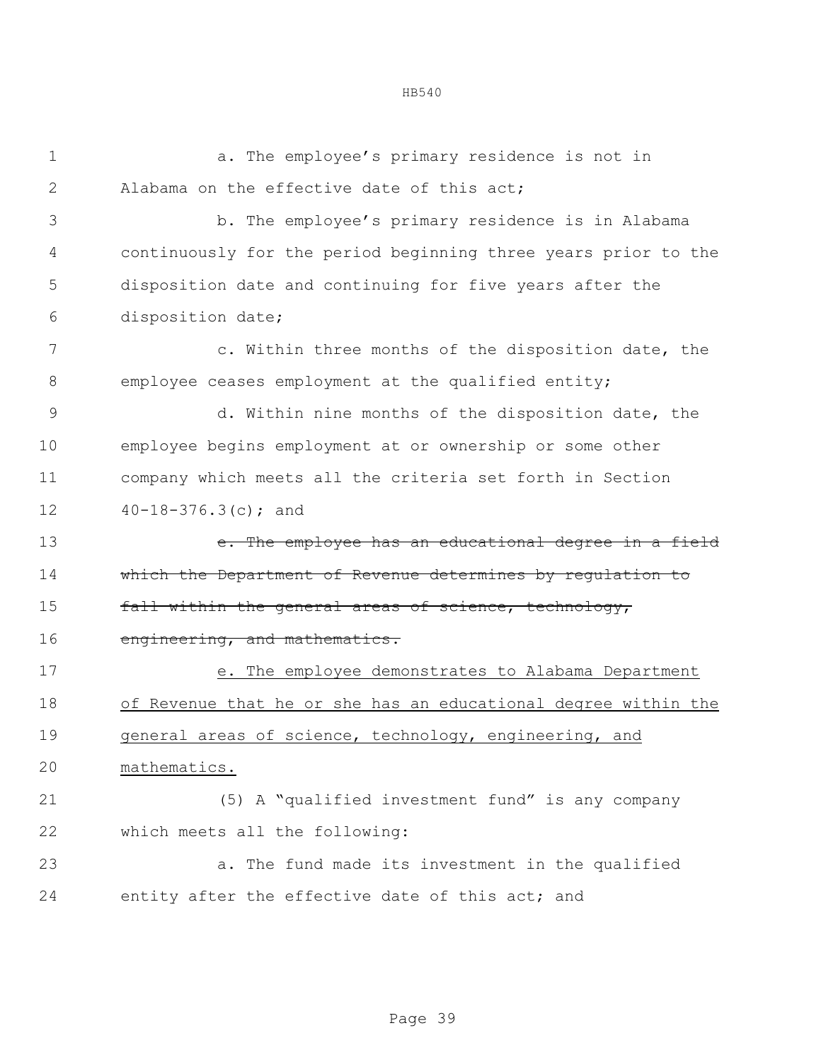a. The employee's primary residence is not in 2 Alabama on the effective date of this act: b. The employee's primary residence is in Alabama continuously for the period beginning three years prior to the disposition date and continuing for five years after the disposition date; c. Within three months of the disposition date, the employee ceases employment at the qualified entity; d. Within nine months of the disposition date, the employee begins employment at or ownership or some other company which meets all the criteria set forth in Section 40-18-376.3(c); and **e.** The employee has an educational degree in a field which the Department of Revenue determines by regulation to **fall within the general areas of science, technology,** 16 engineering, and mathematics. e. The employee demonstrates to Alabama Department of Revenue that he or she has an educational degree within the 19 general areas of science, technology, engineering, and mathematics. (5) A "qualified investment fund" is any company which meets all the following: a. The fund made its investment in the qualified entity after the effective date of this act; and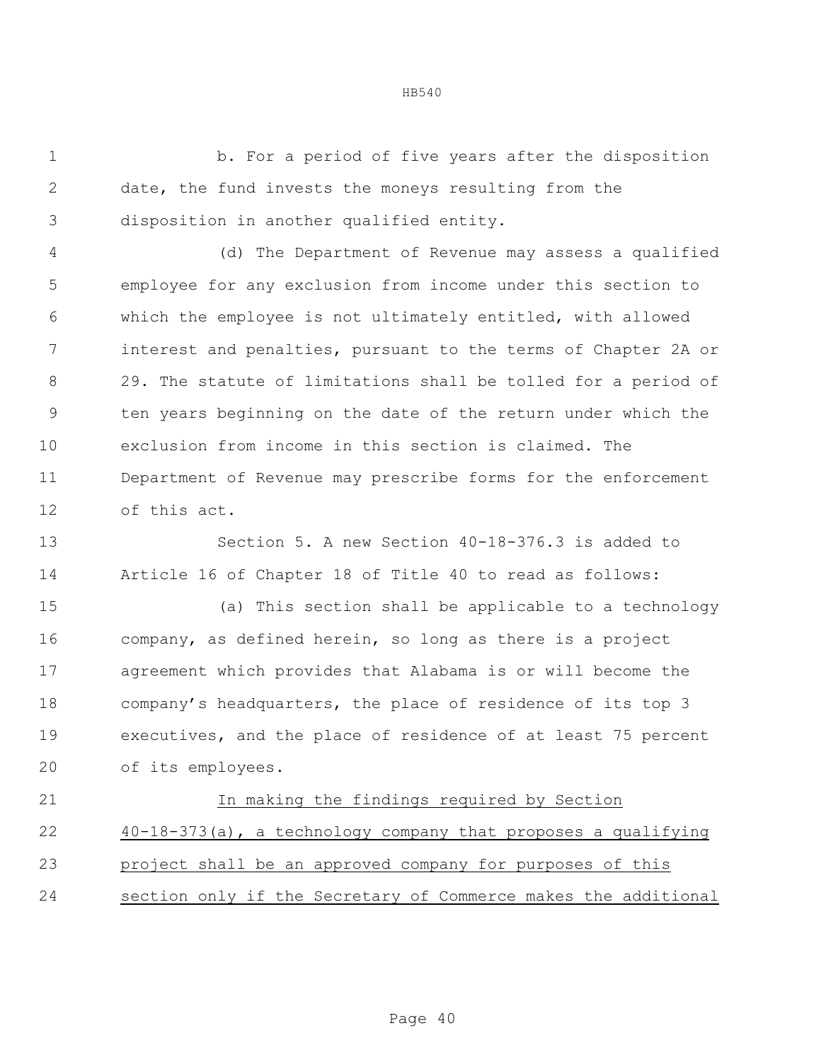b. For a period of five years after the disposition date, the fund invests the moneys resulting from the disposition in another qualified entity.

 (d) The Department of Revenue may assess a qualified employee for any exclusion from income under this section to which the employee is not ultimately entitled, with allowed interest and penalties, pursuant to the terms of Chapter 2A or 29. The statute of limitations shall be tolled for a period of ten years beginning on the date of the return under which the exclusion from income in this section is claimed. The Department of Revenue may prescribe forms for the enforcement of this act.

 Section 5. A new Section 40-18-376.3 is added to Article 16 of Chapter 18 of Title 40 to read as follows:

 (a) This section shall be applicable to a technology company, as defined herein, so long as there is a project agreement which provides that Alabama is or will become the company's headquarters, the place of residence of its top 3 executives, and the place of residence of at least 75 percent of its employees.

 In making the findings required by Section 40-18-373(a), a technology company that proposes a qualifying project shall be an approved company for purposes of this section only if the Secretary of Commerce makes the additional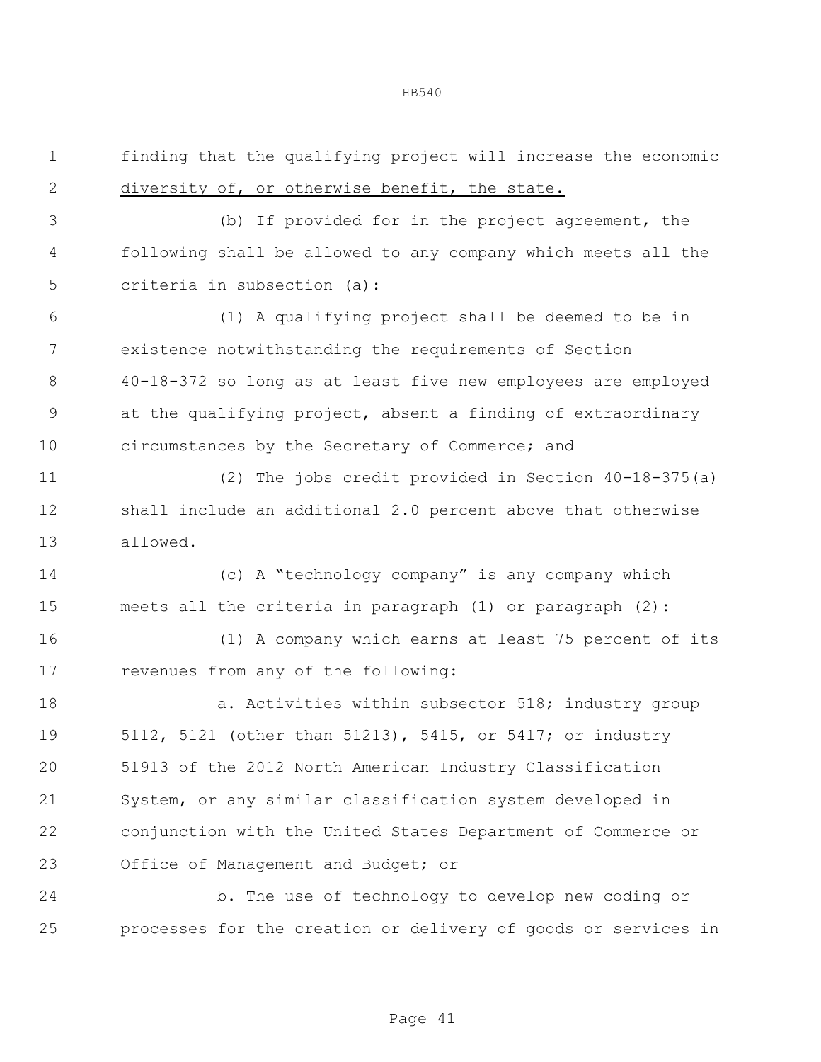| $\mathbf 1$  | finding that the qualifying project will increase the economic |
|--------------|----------------------------------------------------------------|
| $\mathbf{2}$ | diversity of, or otherwise benefit, the state.                 |
| 3            | (b) If provided for in the project agreement, the              |
| 4            | following shall be allowed to any company which meets all the  |
| 5            | criteria in subsection (a):                                    |
| 6            | (1) A qualifying project shall be deemed to be in              |
| 7            | existence notwithstanding the requirements of Section          |
| 8            | 40-18-372 so long as at least five new employees are employed  |
| $\mathsf 9$  | at the qualifying project, absent a finding of extraordinary   |
| 10           | circumstances by the Secretary of Commerce; and                |
| 11           | (2) The jobs credit provided in Section 40-18-375(a)           |
| 12           | shall include an additional 2.0 percent above that otherwise   |
| 13           | allowed.                                                       |
| 14           | (c) A "technology company" is any company which                |
| 15           | meets all the criteria in paragraph (1) or paragraph (2):      |
| 16           | (1) A company which earns at least 75 percent of its           |
| 17           | revenues from any of the following:                            |
| 18           | a. Activities within subsector 518; industry group             |
| 19           | 5112, 5121 (other than 51213), 5415, or 5417; or industry      |
| 20           | 51913 of the 2012 North American Industry Classification       |
| 21           | System, or any similar classification system developed in      |
| 22           | conjunction with the United States Department of Commerce or   |
| 23           | Office of Management and Budget; or                            |
| 24           | b. The use of technology to develop new coding or              |

processes for the creation or delivery of goods or services in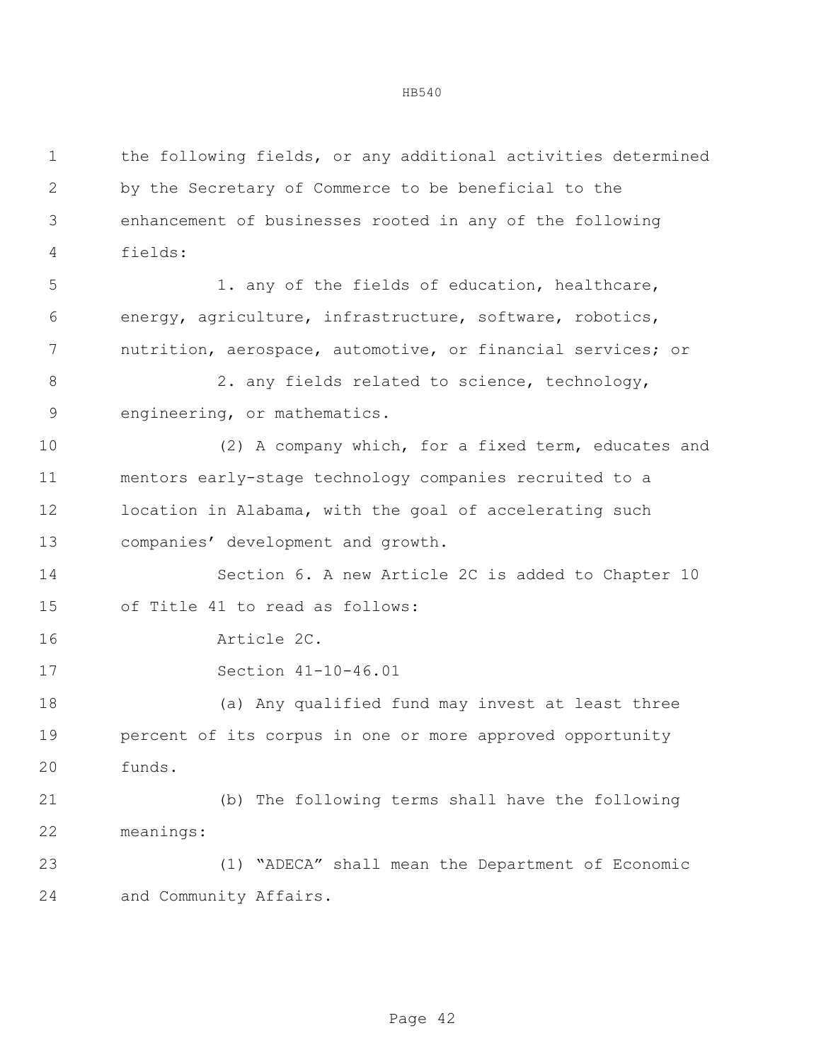the following fields, or any additional activities determined by the Secretary of Commerce to be beneficial to the enhancement of businesses rooted in any of the following fields: 1. any of the fields of education, healthcare, energy, agriculture, infrastructure, software, robotics, nutrition, aerospace, automotive, or financial services; or 8 2. any fields related to science, technology, engineering, or mathematics. (2) A company which, for a fixed term, educates and mentors early-stage technology companies recruited to a location in Alabama, with the goal of accelerating such companies' development and growth. Section 6. A new Article 2C is added to Chapter 10 of Title 41 to read as follows: Article 2C. Section 41-10-46.01 (a) Any qualified fund may invest at least three percent of its corpus in one or more approved opportunity funds. (b) The following terms shall have the following meanings: (1) "ADECA" shall mean the Department of Economic and Community Affairs.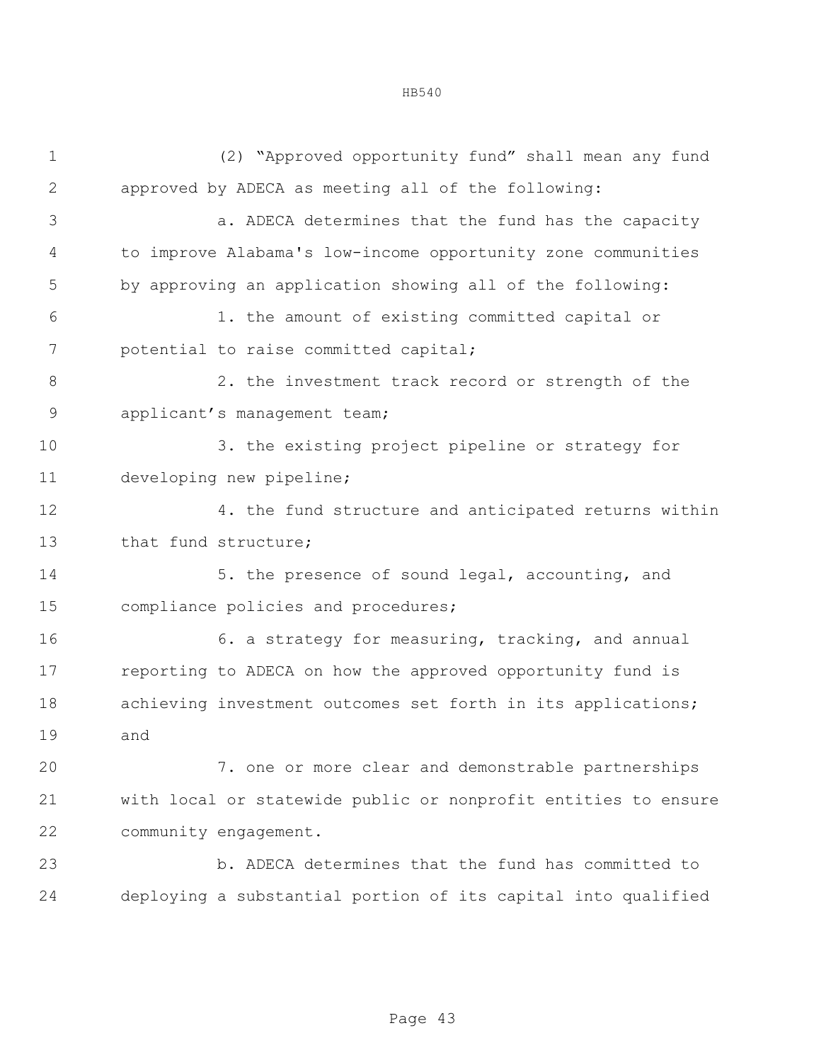| $\mathbf 1$  | (2) "Approved opportunity fund" shall mean any fund            |  |  |  |  |
|--------------|----------------------------------------------------------------|--|--|--|--|
| $\mathbf{2}$ | approved by ADECA as meeting all of the following:             |  |  |  |  |
| 3            | a. ADECA determines that the fund has the capacity             |  |  |  |  |
| 4            | to improve Alabama's low-income opportunity zone communities   |  |  |  |  |
| 5            | by approving an application showing all of the following:      |  |  |  |  |
| 6            | 1. the amount of existing committed capital or                 |  |  |  |  |
| 7            | potential to raise committed capital;                          |  |  |  |  |
| $8\,$        | 2. the investment track record or strength of the              |  |  |  |  |
| $\mathsf 9$  | applicant's management team;                                   |  |  |  |  |
| 10           | 3. the existing project pipeline or strategy for               |  |  |  |  |
| 11           | developing new pipeline;                                       |  |  |  |  |
| 12           | 4. the fund structure and anticipated returns within           |  |  |  |  |
| 13           | that fund structure;                                           |  |  |  |  |
| 14           | 5. the presence of sound legal, accounting, and                |  |  |  |  |
| 15           | compliance policies and procedures;                            |  |  |  |  |
| 16           | 6. a strategy for measuring, tracking, and annual              |  |  |  |  |
| 17           | reporting to ADECA on how the approved opportunity fund is     |  |  |  |  |
| 18           | achieving investment outcomes set forth in its applications;   |  |  |  |  |
| 19           | and                                                            |  |  |  |  |
| 20           | 7. one or more clear and demonstrable partnerships             |  |  |  |  |
| 21           | with local or statewide public or nonprofit entities to ensure |  |  |  |  |
| 22           | community engagement.                                          |  |  |  |  |
| 23           | b. ADECA determines that the fund has committed to             |  |  |  |  |
| 24           | deploying a substantial portion of its capital into qualified  |  |  |  |  |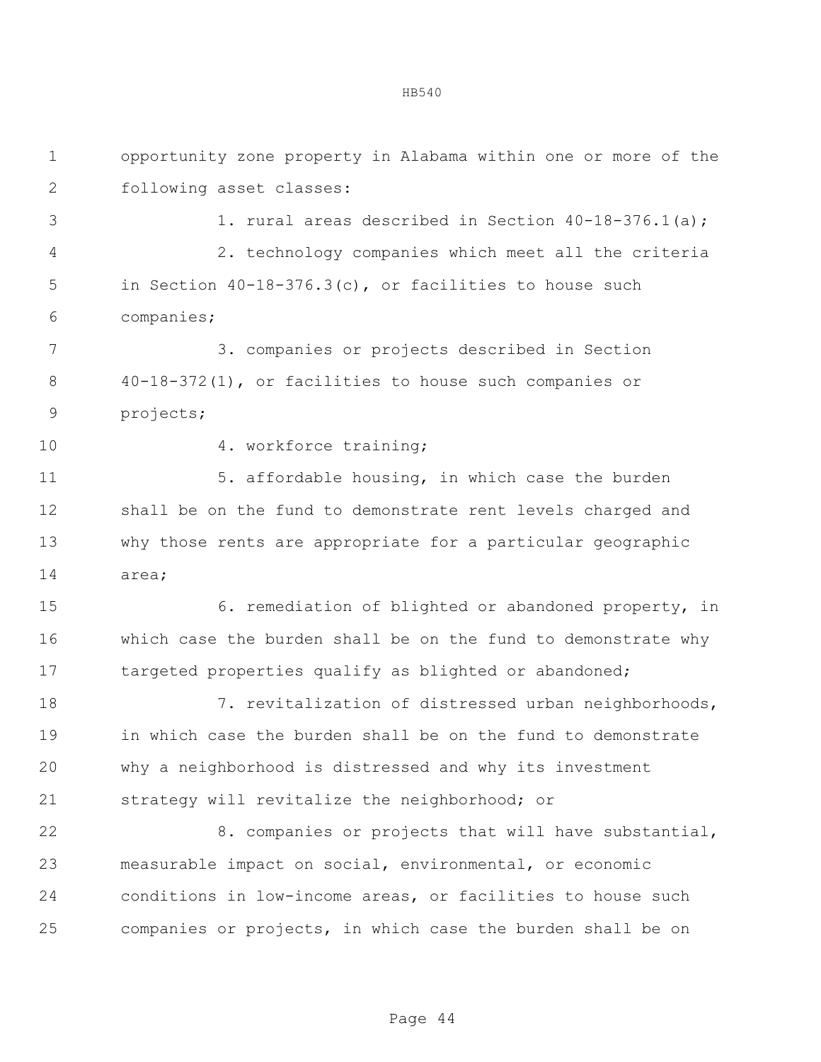| $\mathbf 1$   | opportunity zone property in Alabama within one or more of the |  |  |  |  |
|---------------|----------------------------------------------------------------|--|--|--|--|
| $\mathbf{2}$  | following asset classes:                                       |  |  |  |  |
| 3             | 1. rural areas described in Section 40-18-376.1(a);            |  |  |  |  |
| 4             | 2. technology companies which meet all the criteria            |  |  |  |  |
| 5             | in Section $40-18-376.3(c)$ , or facilities to house such      |  |  |  |  |
| 6             | companies;                                                     |  |  |  |  |
| 7             | 3. companies or projects described in Section                  |  |  |  |  |
| 8             | $40-18-372(1)$ , or facilities to house such companies or      |  |  |  |  |
| $\mathcal{G}$ | projects;                                                      |  |  |  |  |
| 10            | 4. workforce training;                                         |  |  |  |  |
| 11            | 5. affordable housing, in which case the burden                |  |  |  |  |
| 12            | shall be on the fund to demonstrate rent levels charged and    |  |  |  |  |
| 13            | why those rents are appropriate for a particular geographic    |  |  |  |  |
| 14            | area;                                                          |  |  |  |  |
| 15            | 6. remediation of blighted or abandoned property, in           |  |  |  |  |
| 16            | which case the burden shall be on the fund to demonstrate why  |  |  |  |  |
| 17            | targeted properties qualify as blighted or abandoned;          |  |  |  |  |
| 18            | 7. revitalization of distressed urban neighborhoods,           |  |  |  |  |
| 19            | in which case the burden shall be on the fund to demonstrate   |  |  |  |  |
| 20            | why a neighborhood is distressed and why its investment        |  |  |  |  |
| 21            | strategy will revitalize the neighborhood; or                  |  |  |  |  |
| 22            | 8. companies or projects that will have substantial,           |  |  |  |  |
| 23            | measurable impact on social, environmental, or economic        |  |  |  |  |
| 24            | conditions in low-income areas, or facilities to house such    |  |  |  |  |
| 25            | companies or projects, in which case the burden shall be on    |  |  |  |  |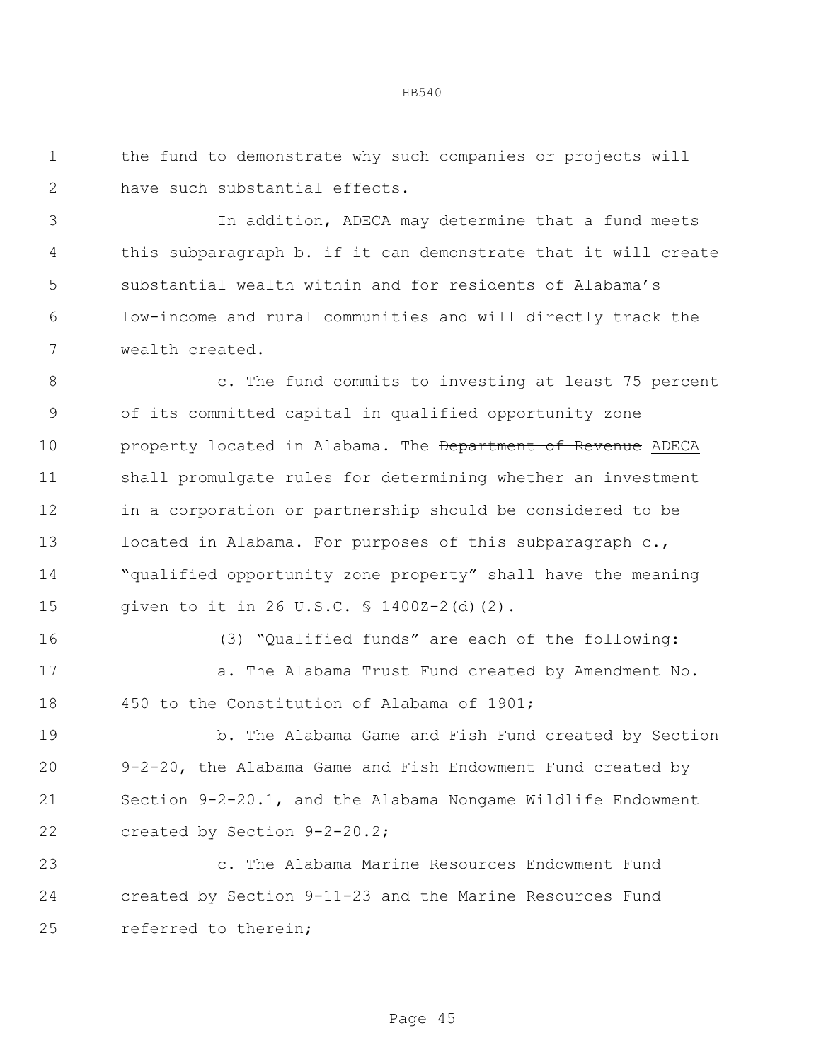the fund to demonstrate why such companies or projects will have such substantial effects.

 In addition, ADECA may determine that a fund meets this subparagraph b. if it can demonstrate that it will create substantial wealth within and for residents of Alabama's low-income and rural communities and will directly track the wealth created.

 c. The fund commits to investing at least 75 percent of its committed capital in qualified opportunity zone **property located in Alabama. The <del>Department of Revenue</del> ADECA**  shall promulgate rules for determining whether an investment in a corporation or partnership should be considered to be 13 located in Alabama. For purposes of this subparagraph c., "qualified opportunity zone property" shall have the meaning given to it in 26 U.S.C. § 1400Z-2(d)(2).

(3) "Qualified funds" are each of the following:

17 a. The Alabama Trust Fund created by Amendment No. 450 to the Constitution of Alabama of 1901;

 b. The Alabama Game and Fish Fund created by Section 9-2-20, the Alabama Game and Fish Endowment Fund created by Section 9-2-20.1, and the Alabama Nongame Wildlife Endowment created by Section 9-2-20.2;

 c. The Alabama Marine Resources Endowment Fund created by Section 9-11-23 and the Marine Resources Fund referred to therein;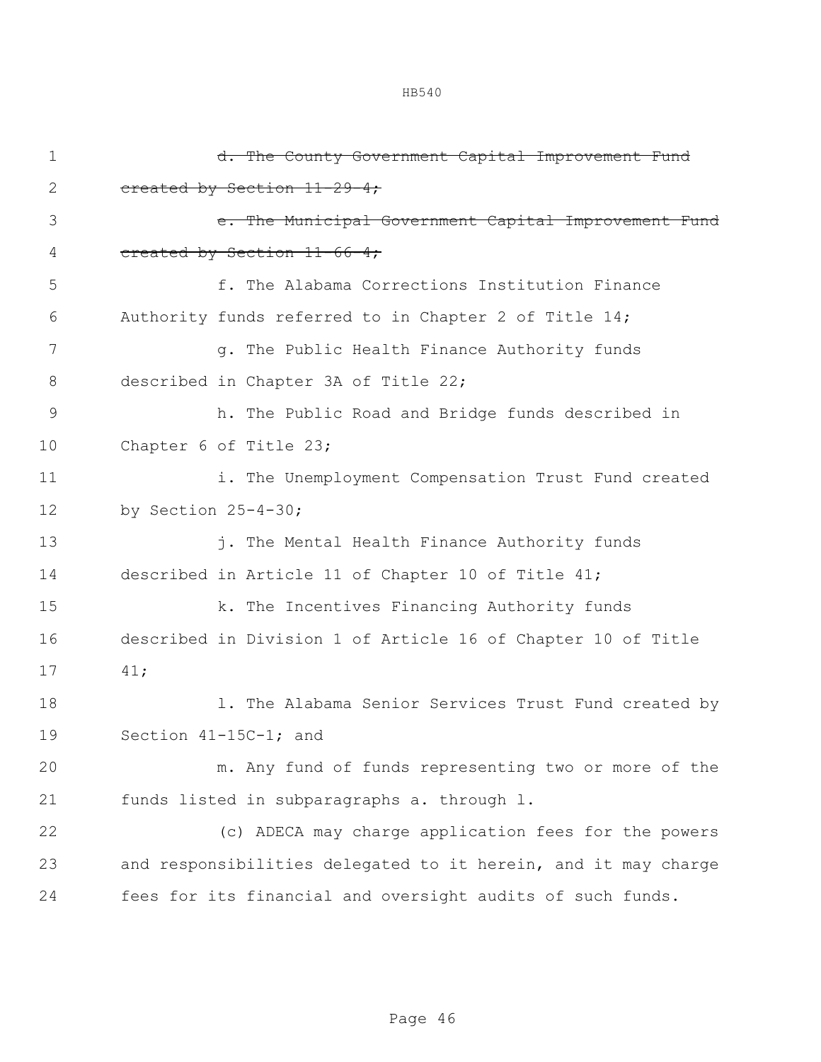| $\mathbf 1$ | d. The County Government Capital Improvement Fund              |  |  |  |
|-------------|----------------------------------------------------------------|--|--|--|
| 2           | created by Section 11-29-4;                                    |  |  |  |
| 3           | e. The Municipal Government Capital Improvement Fund           |  |  |  |
| 4           | created by Section 11-66-4;                                    |  |  |  |
| 5           | f. The Alabama Corrections Institution Finance                 |  |  |  |
| 6           | Authority funds referred to in Chapter 2 of Title 14;          |  |  |  |
| 7           | g. The Public Health Finance Authority funds                   |  |  |  |
| 8           | described in Chapter 3A of Title 22;                           |  |  |  |
| 9           | h. The Public Road and Bridge funds described in               |  |  |  |
| 10          | Chapter 6 of Title 23;                                         |  |  |  |
| 11          | i. The Unemployment Compensation Trust Fund created            |  |  |  |
| 12          | by Section $25-4-30$ ;                                         |  |  |  |
| 13          | j. The Mental Health Finance Authority funds                   |  |  |  |
| 14          | described in Article 11 of Chapter 10 of Title 41;             |  |  |  |
| 15          | k. The Incentives Financing Authority funds                    |  |  |  |
| 16          | described in Division 1 of Article 16 of Chapter 10 of Title   |  |  |  |
| 17          | 41;                                                            |  |  |  |
| 18          | 1. The Alabama Senior Services Trust Fund created by           |  |  |  |
| 19          | Section 41-15C-1; and                                          |  |  |  |
| 20          | m. Any fund of funds representing two or more of the           |  |  |  |
| 21          | funds listed in subparagraphs a. through 1.                    |  |  |  |
| 22          | (c) ADECA may charge application fees for the powers           |  |  |  |
| 23          | and responsibilities delegated to it herein, and it may charge |  |  |  |
| 24          | fees for its financial and oversight audits of such funds.     |  |  |  |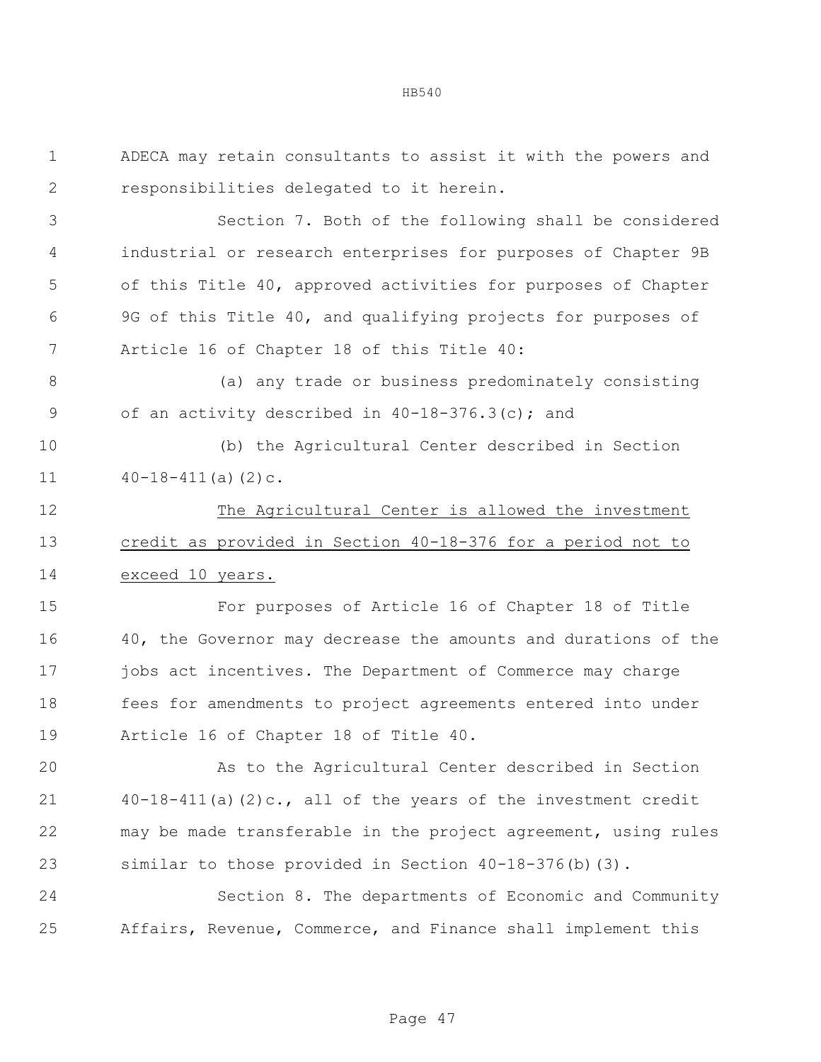ADECA may retain consultants to assist it with the powers and responsibilities delegated to it herein. Section 7. Both of the following shall be considered industrial or research enterprises for purposes of Chapter 9B of this Title 40, approved activities for purposes of Chapter 9G of this Title 40, and qualifying projects for purposes of Article 16 of Chapter 18 of this Title 40: (a) any trade or business predominately consisting 9 of an activity described in 40-18-376.3(c); and (b) the Agricultural Center described in Section  $40-18-411(a)(2)c.$ 12 The Agricultural Center is allowed the investment credit as provided in Section 40-18-376 for a period not to exceed 10 years. For purposes of Article 16 of Chapter 18 of Title 40, the Governor may decrease the amounts and durations of the jobs act incentives. The Department of Commerce may charge fees for amendments to project agreements entered into under Article 16 of Chapter 18 of Title 40. As to the Agricultural Center described in Section 40-18-411(a)(2)c., all of the years of the investment credit may be made transferable in the project agreement, using rules similar to those provided in Section 40-18-376(b)(3). Section 8. The departments of Economic and Community Affairs, Revenue, Commerce, and Finance shall implement this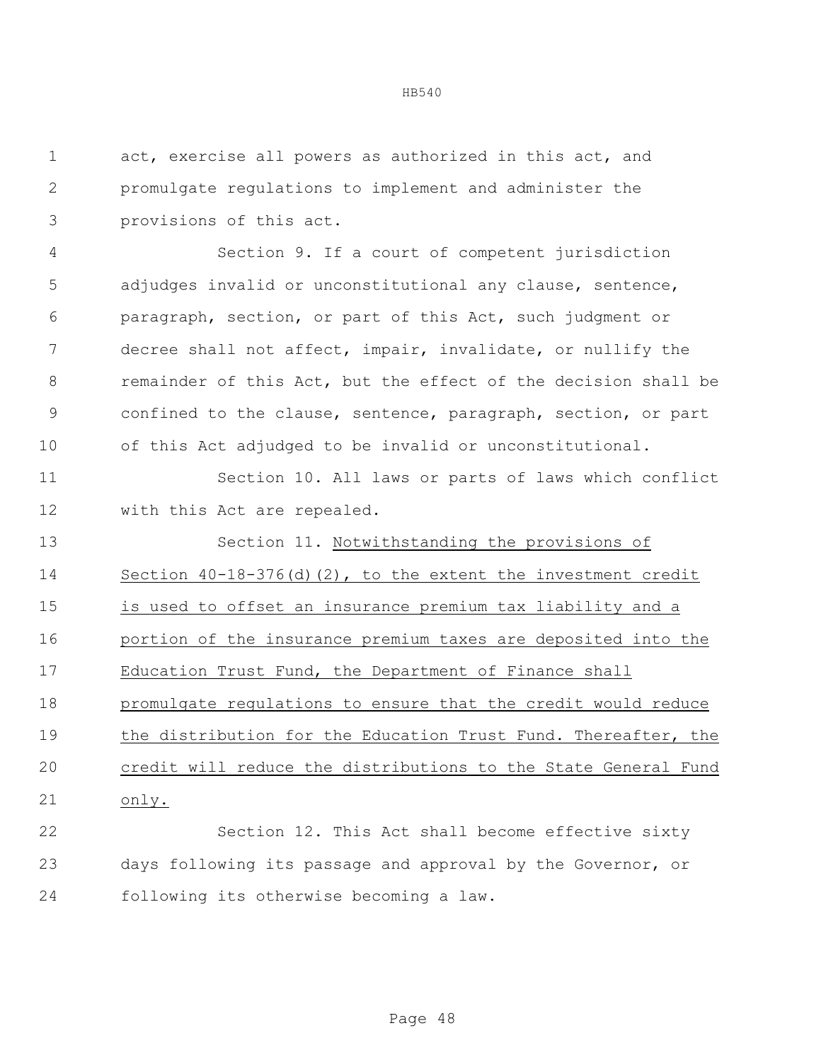act, exercise all powers as authorized in this act, and promulgate regulations to implement and administer the provisions of this act.

 Section 9. If a court of competent jurisdiction adjudges invalid or unconstitutional any clause, sentence, paragraph, section, or part of this Act, such judgment or decree shall not affect, impair, invalidate, or nullify the remainder of this Act, but the effect of the decision shall be confined to the clause, sentence, paragraph, section, or part of this Act adjudged to be invalid or unconstitutional.

 Section 10. All laws or parts of laws which conflict with this Act are repealed.

 Section 11. Notwithstanding the provisions of Section 40-18-376(d)(2), to the extent the investment credit is used to offset an insurance premium tax liability and a portion of the insurance premium taxes are deposited into the Education Trust Fund, the Department of Finance shall promulgate regulations to ensure that the credit would reduce 19 the distribution for the Education Trust Fund. Thereafter, the credit will reduce the distributions to the State General Fund only.

 Section 12. This Act shall become effective sixty days following its passage and approval by the Governor, or following its otherwise becoming a law.